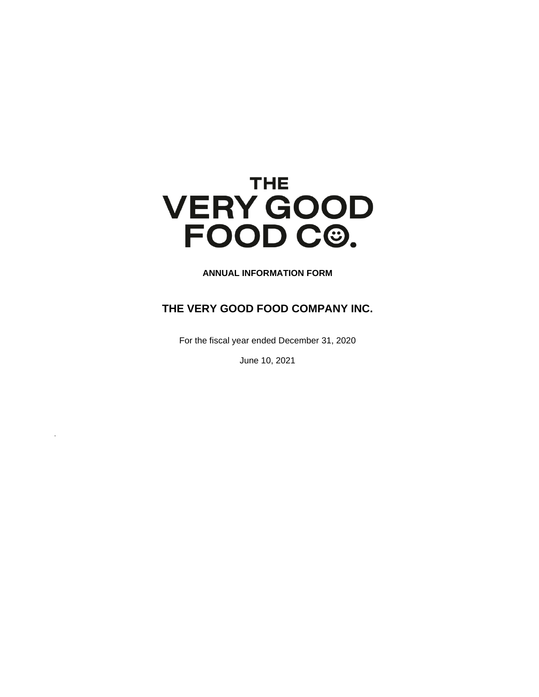# **THE VERY GOOD** FOOD C<sup>®</sup>.

**ANNUAL INFORMATION FORM**

# <span id="page-0-0"></span>**THE VERY GOOD FOOD COMPANY INC.**

For the fiscal year ended December 31, 2020

June 10, 2021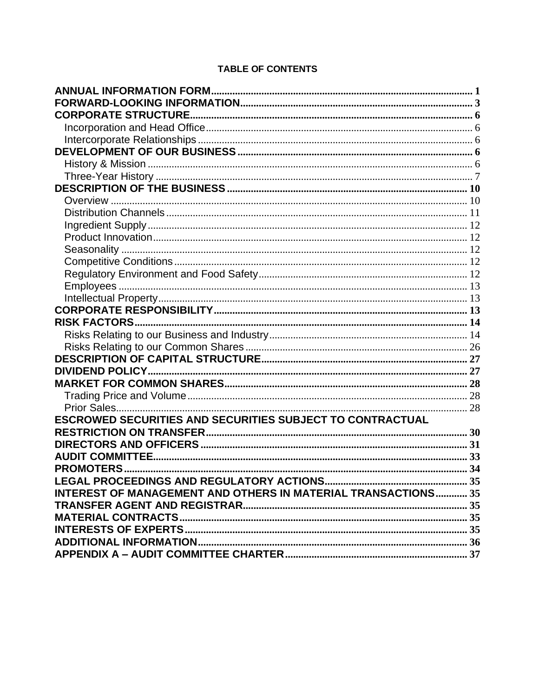# **TABLE OF CONTENTS**

| <b>ESCROWED SECURITIES AND SECURITIES SUBJECT TO CONTRACTUAL</b> |  |
|------------------------------------------------------------------|--|
|                                                                  |  |
|                                                                  |  |
|                                                                  |  |
|                                                                  |  |
|                                                                  |  |
| INTEREST OF MANAGEMENT AND OTHERS IN MATERIAL TRANSACTIONS 35    |  |
|                                                                  |  |
|                                                                  |  |
|                                                                  |  |
|                                                                  |  |
|                                                                  |  |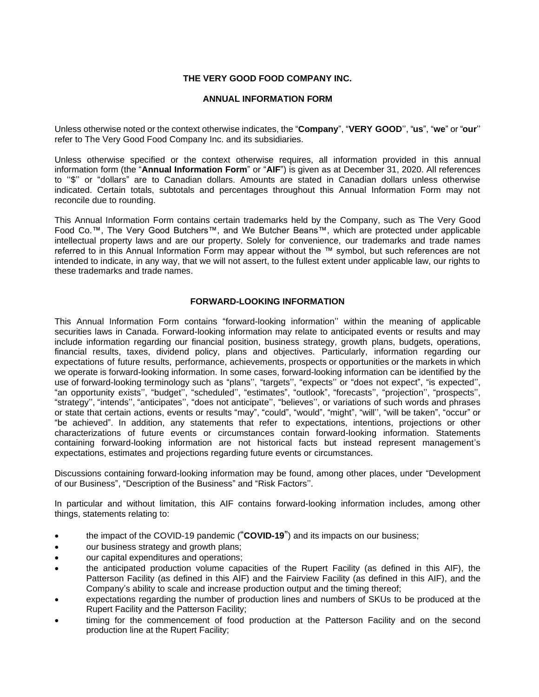## **THE VERY GOOD FOOD COMPANY INC.**

## **ANNUAL INFORMATION FORM**

Unless otherwise noted or the context otherwise indicates, the "**Company**", "**VERY GOOD**'', "**us**", "**we**" or "**our**'' refer to The Very Good Food Company Inc. and its subsidiaries.

Unless otherwise specified or the context otherwise requires, all information provided in this annual information form (the "**Annual Information Form**" or "**AIF**") is given as at December 31, 2020. All references to ''\$'' or "dollars" are to Canadian dollars. Amounts are stated in Canadian dollars unless otherwise indicated. Certain totals, subtotals and percentages throughout this Annual Information Form may not reconcile due to rounding.

This Annual Information Form contains certain trademarks held by the Company, such as The Very Good Food Co.™, The Very Good Butchers™, and We Butcher Beans™, which are protected under applicable intellectual property laws and are our property. Solely for convenience, our trademarks and trade names referred to in this Annual Information Form may appear without the ™ symbol, but such references are not intended to indicate, in any way, that we will not assert, to the fullest extent under applicable law, our rights to these trademarks and trade names.

## **FORWARD-LOOKING INFORMATION**

<span id="page-2-0"></span>This Annual Information Form contains "forward-looking information'' within the meaning of applicable securities laws in Canada. Forward-looking information may relate to anticipated events or results and may include information regarding our financial position, business strategy, growth plans, budgets, operations, financial results, taxes, dividend policy, plans and objectives. Particularly, information regarding our expectations of future results, performance, achievements, prospects or opportunities or the markets in which we operate is forward-looking information. In some cases, forward-looking information can be identified by the use of forward-looking terminology such as "plans'', "targets'', "expects'' or "does not expect", "is expected'', "an opportunity exists'', "budget'', "scheduled'', "estimates", "outlook", "forecasts'', "projection'', "prospects'', "strategy'', "intends'', "anticipates'', "does not anticipate'', "believes'', or variations of such words and phrases or state that certain actions, events or results "may", "could", "would", "might", "will'', "will be taken", "occur" or "be achieved". In addition, any statements that refer to expectations, intentions, projections or other characterizations of future events or circumstances contain forward-looking information. Statements containing forward-looking information are not historical facts but instead represent management's expectations, estimates and projections regarding future events or circumstances.

Discussions containing forward-looking information may be found, among other places, under "Development of our Business", "Description of the Business" and "Risk Factors''.

In particular and without limitation, this AIF contains forward-looking information includes, among other things, statements relating to:

- the impact of the COVID-19 pandemic ("**COVID-19**") and its impacts on our business;
- our business strategy and growth plans;
- our capital expenditures and operations;
- the anticipated production volume capacities of the Rupert Facility (as defined in this AIF), the Patterson Facility (as defined in this AIF) and the Fairview Facility (as defined in this AIF), and the Company's ability to scale and increase production output and the timing thereof;
- expectations regarding the number of production lines and numbers of SKUs to be produced at the Rupert Facility and the Patterson Facility;
- timing for the commencement of food production at the Patterson Facility and on the second production line at the Rupert Facility;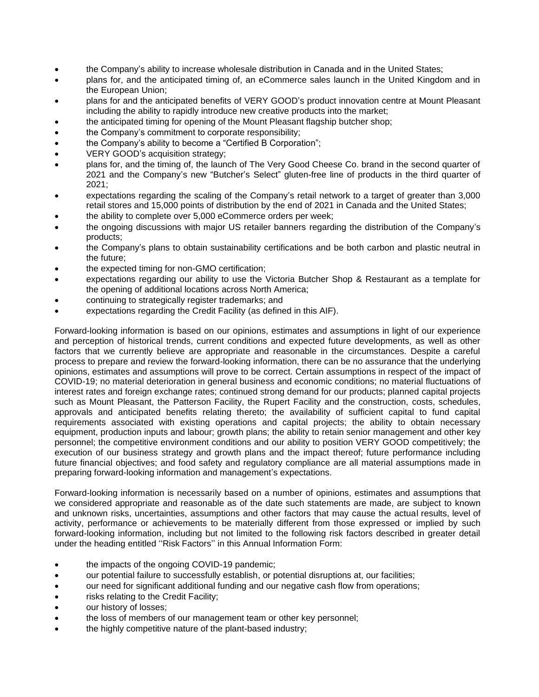- the Company's ability to increase wholesale distribution in Canada and in the United States;
- plans for, and the anticipated timing of, an eCommerce sales launch in the United Kingdom and in the European Union;
- plans for and the anticipated benefits of VERY GOOD's product innovation centre at Mount Pleasant including the ability to rapidly introduce new creative products into the market;
- the anticipated timing for opening of the Mount Pleasant flagship butcher shop;
- the Company's commitment to corporate responsibility;
- the Company's ability to become a "Certified B Corporation";
- VERY GOOD's acquisition strategy;
- plans for, and the timing of, the launch of The Very Good Cheese Co. brand in the second quarter of 2021 and the Company's new "Butcher's Select" gluten-free line of products in the third quarter of 2021;
- expectations regarding the scaling of the Company's retail network to a target of greater than 3,000 retail stores and 15,000 points of distribution by the end of 2021 in Canada and the United States;
- the ability to complete over 5,000 eCommerce orders per week;
- the ongoing discussions with major US retailer banners regarding the distribution of the Company's products;
- the Company's plans to obtain sustainability certifications and be both carbon and plastic neutral in the future;
- the expected timing for non-GMO certification;
- expectations regarding our ability to use the Victoria Butcher Shop & Restaurant as a template for the opening of additional locations across North America;
- continuing to strategically register trademarks; and
- expectations regarding the Credit Facility (as defined in this AIF).

Forward-looking information is based on our opinions, estimates and assumptions in light of our experience and perception of historical trends, current conditions and expected future developments, as well as other factors that we currently believe are appropriate and reasonable in the circumstances. Despite a careful process to prepare and review the forward-looking information, there can be no assurance that the underlying opinions, estimates and assumptions will prove to be correct. Certain assumptions in respect of the impact of COVID-19; no material deterioration in general business and economic conditions; no material fluctuations of interest rates and foreign exchange rates; continued strong demand for our products; planned capital projects such as Mount Pleasant, the Patterson Facility, the Rupert Facility and the construction, costs, schedules, approvals and anticipated benefits relating thereto; the availability of sufficient capital to fund capital requirements associated with existing operations and capital projects; the ability to obtain necessary equipment, production inputs and labour; growth plans; the ability to retain senior management and other key personnel; the competitive environment conditions and our ability to position VERY GOOD competitively; the execution of our business strategy and growth plans and the impact thereof; future performance including future financial objectives; and food safety and regulatory compliance are all material assumptions made in preparing forward-looking information and management's expectations.

Forward-looking information is necessarily based on a number of opinions, estimates and assumptions that we considered appropriate and reasonable as of the date such statements are made, are subject to known and unknown risks, uncertainties, assumptions and other factors that may cause the actual results, level of activity, performance or achievements to be materially different from those expressed or implied by such forward-looking information, including but not limited to the following risk factors described in greater detail under the heading entitled ''Risk Factors'' in this Annual Information Form:

- the impacts of the ongoing COVID-19 pandemic;
- our potential failure to successfully establish, or potential disruptions at, our facilities;
- our need for significant additional funding and our negative cash flow from operations;
- risks relating to the Credit Facility;
- our history of losses:
- the loss of members of our management team or other key personnel;
- the highly competitive nature of the plant-based industry;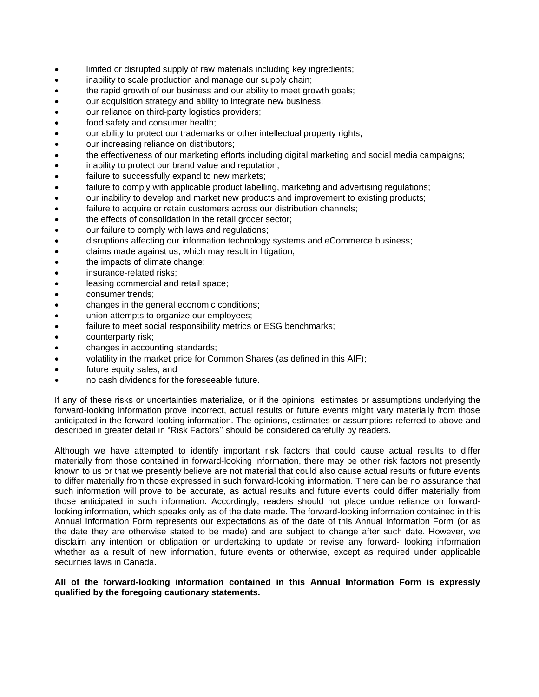- limited or disrupted supply of raw materials including key ingredients;
- inability to scale production and manage our supply chain;
- the rapid growth of our business and our ability to meet growth goals;
- our acquisition strategy and ability to integrate new business;
- our reliance on third-party logistics providers;
- food safety and consumer health;
- our ability to protect our trademarks or other intellectual property rights;
- our increasing reliance on distributors;
- the effectiveness of our marketing efforts including digital marketing and social media campaigns;
- inability to protect our brand value and reputation;
- failure to successfully expand to new markets;
- failure to comply with applicable product labelling, marketing and advertising regulations;
- our inability to develop and market new products and improvement to existing products;
- failure to acquire or retain customers across our distribution channels;
- the effects of consolidation in the retail grocer sector;
- our failure to comply with laws and regulations:
- disruptions affecting our information technology systems and eCommerce business;
- claims made against us, which may result in litigation;
- the impacts of climate change;
- insurance-related risks;
- leasing commercial and retail space;
- consumer trends;
- changes in the general economic conditions;
- union attempts to organize our employees;
- failure to meet social responsibility metrics or ESG benchmarks;
- counterparty risk;
- changes in accounting standards;
- volatility in the market price for Common Shares (as defined in this AIF);
- future equity sales; and
- no cash dividends for the foreseeable future.

If any of these risks or uncertainties materialize, or if the opinions, estimates or assumptions underlying the forward-looking information prove incorrect, actual results or future events might vary materially from those anticipated in the forward-looking information. The opinions, estimates or assumptions referred to above and described in greater detail in "Risk Factors'' should be considered carefully by readers.

Although we have attempted to identify important risk factors that could cause actual results to differ materially from those contained in forward-looking information, there may be other risk factors not presently known to us or that we presently believe are not material that could also cause actual results or future events to differ materially from those expressed in such forward-looking information. There can be no assurance that such information will prove to be accurate, as actual results and future events could differ materially from those anticipated in such information. Accordingly, readers should not place undue reliance on forwardlooking information, which speaks only as of the date made. The forward-looking information contained in this Annual Information Form represents our expectations as of the date of this Annual Information Form (or as the date they are otherwise stated to be made) and are subject to change after such date. However, we disclaim any intention or obligation or undertaking to update or revise any forward- looking information whether as a result of new information, future events or otherwise, except as required under applicable securities laws in Canada.

## **All of the forward-looking information contained in this Annual Information Form is expressly qualified by the foregoing cautionary statements.**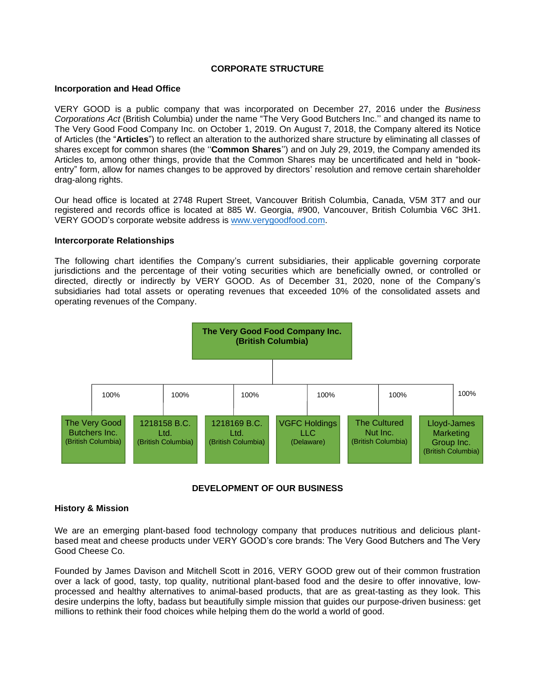## **CORPORATE STRUCTURE**

#### <span id="page-5-1"></span><span id="page-5-0"></span>**Incorporation and Head Office**

VERY GOOD is a public company that was incorporated on December 27, 2016 under the *Business Corporations Act* (British Columbia) under the name "The Very Good Butchers Inc.'' and changed its name to The Very Good Food Company Inc. on October 1, 2019. On August 7, 2018, the Company altered its Notice of Articles (the "**Articles**") to reflect an alteration to the authorized share structure by eliminating all classes of shares except for common shares (the ''**Common Shares**'') and on July 29, 2019, the Company amended its Articles to, among other things, provide that the Common Shares may be uncertificated and held in "bookentry" form, allow for names changes to be approved by directors' resolution and remove certain shareholder drag-along rights.

Our head office is located at 2748 Rupert Street, Vancouver British Columbia, Canada, V5M 3T7 and our registered and records office is located at 885 W. Georgia, #900, Vancouver, British Columbia V6C 3H1. VERY GOOD's corporate website address is [www.verygoodfood.com.](http://www.verygoodfood.com/)

#### <span id="page-5-2"></span>**Intercorporate Relationships**

The following chart identifies the Company's current subsidiaries, their applicable governing corporate jurisdictions and the percentage of their voting securities which are beneficially owned, or controlled or directed, directly or indirectly by VERY GOOD. As of December 31, 2020, none of the Company's subsidiaries had total assets or operating revenues that exceeded 10% of the consolidated assets and operating revenues of the Company.



## **DEVELOPMENT OF OUR BUSINESS**

## <span id="page-5-4"></span><span id="page-5-3"></span>**History & Mission**

We are an emerging plant-based food technology company that produces nutritious and delicious plantbased meat and cheese products under VERY GOOD's core brands: The Very Good Butchers and The Very Good Cheese Co.

Founded by James Davison and Mitchell Scott in 2016, VERY GOOD grew out of their common frustration over a lack of good, tasty, top quality, nutritional plant-based food and the desire to offer innovative, lowprocessed and healthy alternatives to animal-based products, that are as great-tasting as they look. This desire underpins the lofty, badass but beautifully simple mission that guides our purpose-driven business: get millions to rethink their food choices while helping them do the world a world of good.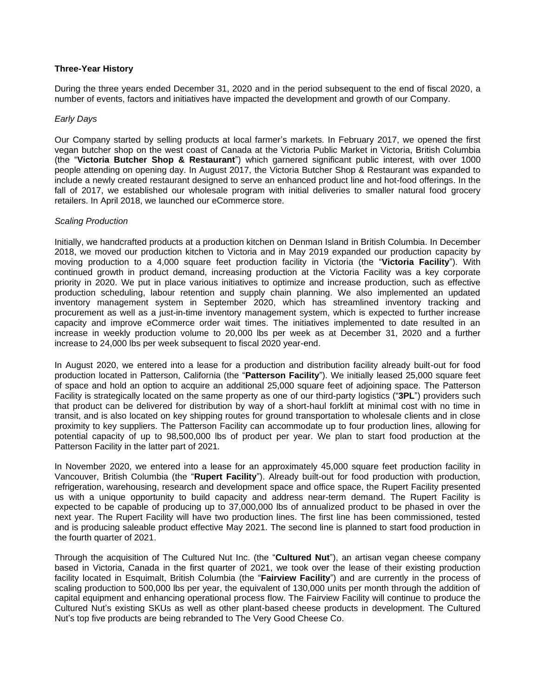## <span id="page-6-0"></span>**Three-Year History**

During the three years ended December 31, 2020 and in the period subsequent to the end of fiscal 2020, a number of events, factors and initiatives have impacted the development and growth of our Company.

#### *Early Days*

Our Company started by selling products at local farmer's markets. In February 2017, we opened the first vegan butcher shop on the west coast of Canada at the Victoria Public Market in Victoria, British Columbia (the "**Victoria Butcher Shop & Restaurant**") which garnered significant public interest, with over 1000 people attending on opening day. In August 2017, the Victoria Butcher Shop & Restaurant was expanded to include a newly created restaurant designed to serve an enhanced product line and hot-food offerings. In the fall of 2017, we established our wholesale program with initial deliveries to smaller natural food grocery retailers. In April 2018, we launched our eCommerce store.

#### *Scaling Production*

Initially, we handcrafted products at a production kitchen on Denman Island in British Columbia. In December 2018, we moved our production kitchen to Victoria and in May 2019 expanded our production capacity by moving production to a 4,000 square feet production facility in Victoria (the "**Victoria Facility**"). With continued growth in product demand, increasing production at the Victoria Facility was a key corporate priority in 2020. We put in place various initiatives to optimize and increase production, such as effective production scheduling, labour retention and supply chain planning. We also implemented an updated inventory management system in September 2020, which has streamlined inventory tracking and procurement as well as a just-in-time inventory management system, which is expected to further increase capacity and improve eCommerce order wait times. The initiatives implemented to date resulted in an increase in weekly production volume to 20,000 lbs per week as at December 31, 2020 and a further increase to 24,000 lbs per week subsequent to fiscal 2020 year-end.

In August 2020, we entered into a lease for a production and distribution facility already built-out for food production located in Patterson, California (the "**Patterson Facility**"). We initially leased 25,000 square feet of space and hold an option to acquire an additional 25,000 square feet of adjoining space. The Patterson Facility is strategically located on the same property as one of our third-party logistics ("**3PL**") providers such that product can be delivered for distribution by way of a short-haul forklift at minimal cost with no time in transit, and is also located on key shipping routes for ground transportation to wholesale clients and in close proximity to key suppliers. The Patterson Facility can accommodate up to four production lines, allowing for potential capacity of up to 98,500,000 lbs of product per year. We plan to start food production at the Patterson Facility in the latter part of 2021.

In November 2020, we entered into a lease for an approximately 45,000 square feet production facility in Vancouver, British Columbia (the "**Rupert Facility**"). Already built-out for food production with production, refrigeration, warehousing, research and development space and office space, the Rupert Facility presented us with a unique opportunity to build capacity and address near-term demand. The Rupert Facility is expected to be capable of producing up to 37,000,000 lbs of annualized product to be phased in over the next year. The Rupert Facility will have two production lines. The first line has been commissioned, tested and is producing saleable product effective May 2021. The second line is planned to start food production in the fourth quarter of 2021.

Through the acquisition of The Cultured Nut Inc. (the "**Cultured Nut**"), an artisan vegan cheese company based in Victoria, Canada in the first quarter of 2021, we took over the lease of their existing production facility located in Esquimalt, British Columbia (the "**Fairview Facility**") and are currently in the process of scaling production to 500,000 lbs per year, the equivalent of 130,000 units per month through the addition of capital equipment and enhancing operational process flow. The Fairview Facility will continue to produce the Cultured Nut's existing SKUs as well as other plant-based cheese products in development. The Cultured Nut's top five products are being rebranded to The Very Good Cheese Co.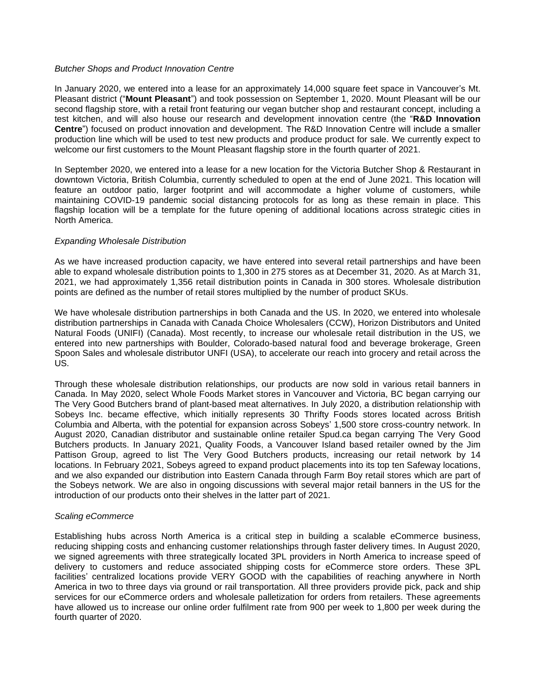#### *Butcher Shops and Product Innovation Centre*

In January 2020, we entered into a lease for an approximately 14,000 square feet space in Vancouver's Mt. Pleasant district ("**Mount Pleasant**") and took possession on September 1, 2020. Mount Pleasant will be our second flagship store, with a retail front featuring our vegan butcher shop and restaurant concept, including a test kitchen, and will also house our research and development innovation centre (the "**R&D Innovation Centre**") focused on product innovation and development. The R&D Innovation Centre will include a smaller production line which will be used to test new products and produce product for sale. We currently expect to welcome our first customers to the Mount Pleasant flagship store in the fourth quarter of 2021.

In September 2020, we entered into a lease for a new location for the Victoria Butcher Shop & Restaurant in downtown Victoria, British Columbia, currently scheduled to open at the end of June 2021. This location will feature an outdoor patio, larger footprint and will accommodate a higher volume of customers, while maintaining COVID-19 pandemic social distancing protocols for as long as these remain in place. This flagship location will be a template for the future opening of additional locations across strategic cities in North America.

#### *Expanding Wholesale Distribution*

As we have increased production capacity, we have entered into several retail partnerships and have been able to expand wholesale distribution points to 1,300 in 275 stores as at December 31, 2020. As at March 31, 2021, we had approximately 1,356 retail distribution points in Canada in 300 stores. Wholesale distribution points are defined as the number of retail stores multiplied by the number of product SKUs.

We have wholesale distribution partnerships in both Canada and the US. In 2020, we entered into wholesale distribution partnerships in Canada with Canada Choice Wholesalers (CCW), Horizon Distributors and United Natural Foods (UNIFI) (Canada). Most recently, to increase our wholesale retail distribution in the US, we entered into new partnerships with Boulder, Colorado-based natural food and beverage brokerage, Green Spoon Sales and wholesale distributor UNFI (USA), to accelerate our reach into grocery and retail across the US.

Through these wholesale distribution relationships, our products are now sold in various retail banners in Canada. In May 2020, select Whole Foods Market stores in Vancouver and Victoria, BC began carrying our The Very Good Butchers brand of plant-based meat alternatives. In July 2020, a distribution relationship with Sobeys Inc. became effective, which initially represents 30 Thrifty Foods stores located across British Columbia and Alberta, with the potential for expansion across Sobeys' 1,500 store cross-country network. In August 2020, Canadian distributor and sustainable online retailer Spud.ca began carrying The Very Good Butchers products. In January 2021, Quality Foods, a Vancouver Island based retailer owned by the Jim Pattison Group, agreed to list The Very Good Butchers products, increasing our retail network by 14 locations. In February 2021, Sobeys agreed to expand product placements into its top ten Safeway locations, and we also expanded our distribution into Eastern Canada through Farm Boy retail stores which are part of the Sobeys network. We are also in ongoing discussions with several major retail banners in the US for the introduction of our products onto their shelves in the latter part of 2021.

#### *Scaling eCommerce*

Establishing hubs across North America is a critical step in building a scalable eCommerce business, reducing shipping costs and enhancing customer relationships through faster delivery times. In August 2020, we signed agreements with three strategically located 3PL providers in North America to increase speed of delivery to customers and reduce associated shipping costs for eCommerce store orders. These 3PL facilities' centralized locations provide VERY GOOD with the capabilities of reaching anywhere in North America in two to three days via ground or rail transportation. All three providers provide pick, pack and ship services for our eCommerce orders and wholesale palletization for orders from retailers. These agreements have allowed us to increase our online order fulfilment rate from 900 per week to 1,800 per week during the fourth quarter of 2020.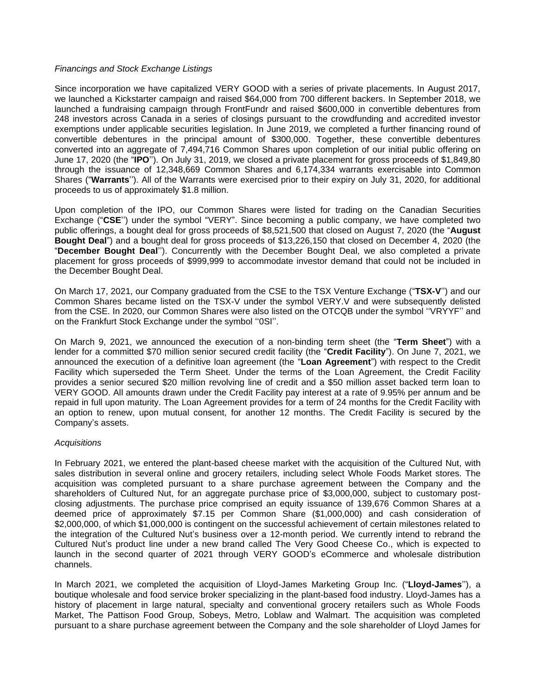## *Financings and Stock Exchange Listings*

Since incorporation we have capitalized VERY GOOD with a series of private placements. In August 2017, we launched a Kickstarter campaign and raised \$64,000 from 700 different backers. In September 2018, we launched a fundraising campaign through FrontFundr and raised \$600,000 in convertible debentures from 248 investors across Canada in a series of closings pursuant to the crowdfunding and accredited investor exemptions under applicable securities legislation. In June 2019, we completed a further financing round of convertible debentures in the principal amount of \$300,000. Together, these convertible debentures converted into an aggregate of 7,494,716 Common Shares upon completion of our initial public offering on June 17, 2020 (the "**IPO**''). On July 31, 2019, we closed a private placement for gross proceeds of \$1,849,80 through the issuance of 12,348,669 Common Shares and 6,174,334 warrants exercisable into Common Shares ("**Warrants**''). All of the Warrants were exercised prior to their expiry on July 31, 2020, for additional proceeds to us of approximately \$1.8 million.

Upon completion of the IPO, our Common Shares were listed for trading on the Canadian Securities Exchange ("**CSE**'') under the symbol "VERY". Since becoming a public company, we have completed two public offerings, a bought deal for gross proceeds of \$8,521,500 that closed on August 7, 2020 (the "**August Bought Deal**") and a bought deal for gross proceeds of \$13,226,150 that closed on December 4, 2020 (the "**December Bought Deal**''). Concurrently with the December Bought Deal, we also completed a private placement for gross proceeds of \$999,999 to accommodate investor demand that could not be included in the December Bought Deal.

On March 17, 2021, our Company graduated from the CSE to the TSX Venture Exchange ("**TSX-V**'') and our Common Shares became listed on the TSX-V under the symbol VERY.V and were subsequently delisted from the CSE. In 2020, our Common Shares were also listed on the OTCQB under the symbol ''VRYYF'' and on the Frankfurt Stock Exchange under the symbol ''0SI''.

On March 9, 2021, we announced the execution of a non-binding term sheet (the "**Term Sheet**") with a lender for a committed \$70 million senior secured credit facility (the "**Credit Facility**"). On June 7, 2021, we announced the execution of a definitive loan agreement (the "**Loan Agreement**") with respect to the Credit Facility which superseded the Term Sheet. Under the terms of the Loan Agreement, the Credit Facility provides a senior secured \$20 million revolving line of credit and a \$50 million asset backed term loan to VERY GOOD. All amounts drawn under the Credit Facility pay interest at a rate of 9.95% per annum and be repaid in full upon maturity. The Loan Agreement provides for a term of 24 months for the Credit Facility with an option to renew, upon mutual consent, for another 12 months. The Credit Facility is secured by the Company's assets.

## *Acquisitions*

In February 2021, we entered the plant-based cheese market with the acquisition of the Cultured Nut, with sales distribution in several online and grocery retailers, including select Whole Foods Market stores. The acquisition was completed pursuant to a share purchase agreement between the Company and the shareholders of Cultured Nut, for an aggregate purchase price of \$3,000,000, subject to customary postclosing adjustments. The purchase price comprised an equity issuance of 139,676 Common Shares at a deemed price of approximately \$7.15 per Common Share (\$1,000,000) and cash consideration of \$2,000,000, of which \$1,000,000 is contingent on the successful achievement of certain milestones related to the integration of the Cultured Nut's business over a 12-month period. We currently intend to rebrand the Cultured Nut's product line under a new brand called The Very Good Cheese Co., which is expected to launch in the second quarter of 2021 through VERY GOOD's eCommerce and wholesale distribution channels.

In March 2021, we completed the acquisition of Lloyd-James Marketing Group Inc. ("**Lloyd-James**''), a boutique wholesale and food service broker specializing in the plant-based food industry. Lloyd-James has a history of placement in large natural, specialty and conventional grocery retailers such as Whole Foods Market, The Pattison Food Group, Sobeys, Metro, Loblaw and Walmart. The acquisition was completed pursuant to a share purchase agreement between the Company and the sole shareholder of Lloyd James for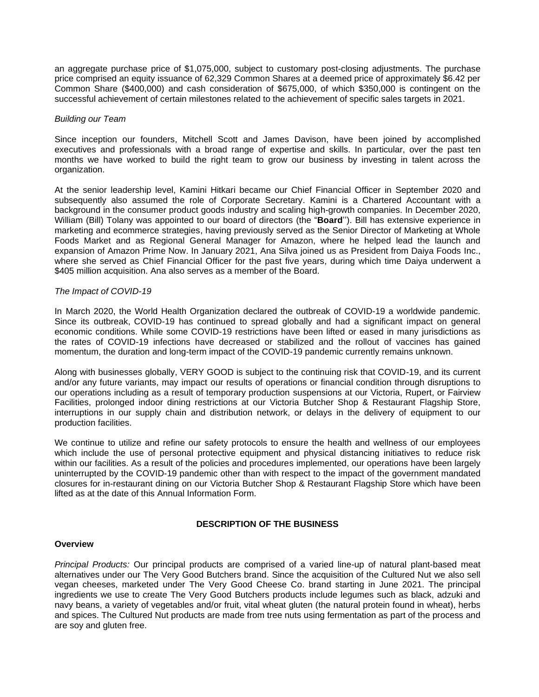an aggregate purchase price of \$1,075,000, subject to customary post-closing adjustments. The purchase price comprised an equity issuance of 62,329 Common Shares at a deemed price of approximately \$6.42 per Common Share (\$400,000) and cash consideration of \$675,000, of which \$350,000 is contingent on the successful achievement of certain milestones related to the achievement of specific sales targets in 2021.

## *Building our Team*

Since inception our founders, Mitchell Scott and James Davison, have been joined by accomplished executives and professionals with a broad range of expertise and skills. In particular, over the past ten months we have worked to build the right team to grow our business by investing in talent across the organization.

At the senior leadership level, Kamini Hitkari became our Chief Financial Officer in September 2020 and subsequently also assumed the role of Corporate Secretary. Kamini is a Chartered Accountant with a background in the consumer product goods industry and scaling high-growth companies. In December 2020, William (Bill) Tolany was appointed to our board of directors (the "**Board**''). Bill has extensive experience in marketing and ecommerce strategies, having previously served as the Senior Director of Marketing at Whole Foods Market and as Regional General Manager for Amazon, where he helped lead the launch and expansion of Amazon Prime Now. In January 2021, Ana Silva joined us as President from Daiya Foods Inc., where she served as Chief Financial Officer for the past five years, during which time Daiya underwent a \$405 million acquisition. Ana also serves as a member of the Board.

#### *The Impact of COVID-19*

In March 2020, the World Health Organization declared the outbreak of COVID-19 a worldwide pandemic. Since its outbreak, COVID-19 has continued to spread globally and had a significant impact on general economic conditions. While some COVID-19 restrictions have been lifted or eased in many jurisdictions as the rates of COVID-19 infections have decreased or stabilized and the rollout of vaccines has gained momentum, the duration and long-term impact of the COVID-19 pandemic currently remains unknown.

Along with businesses globally, VERY GOOD is subject to the continuing risk that COVID-19, and its current and/or any future variants, may impact our results of operations or financial condition through disruptions to our operations including as a result of temporary production suspensions at our Victoria, Rupert, or Fairview Facilities, prolonged indoor dining restrictions at our Victoria Butcher Shop & Restaurant Flagship Store, interruptions in our supply chain and distribution network, or delays in the delivery of equipment to our production facilities.

We continue to utilize and refine our safety protocols to ensure the health and wellness of our employees which include the use of personal protective equipment and physical distancing initiatives to reduce risk within our facilities. As a result of the policies and procedures implemented, our operations have been largely uninterrupted by the COVID-19 pandemic other than with respect to the impact of the government mandated closures for in-restaurant dining on our Victoria Butcher Shop & Restaurant Flagship Store which have been lifted as at the date of this Annual Information Form.

## **DESCRIPTION OF THE BUSINESS**

#### <span id="page-9-1"></span><span id="page-9-0"></span>**Overview**

*Principal Products:* Our principal products are comprised of a varied line-up of natural plant-based meat alternatives under our The Very Good Butchers brand. Since the acquisition of the Cultured Nut we also sell vegan cheeses, marketed under The Very Good Cheese Co. brand starting in June 2021. The principal ingredients we use to create The Very Good Butchers products include legumes such as black, adzuki and navy beans, a variety of vegetables and/or fruit, vital wheat gluten (the natural protein found in wheat), herbs and spices. The Cultured Nut products are made from tree nuts using fermentation as part of the process and are soy and gluten free.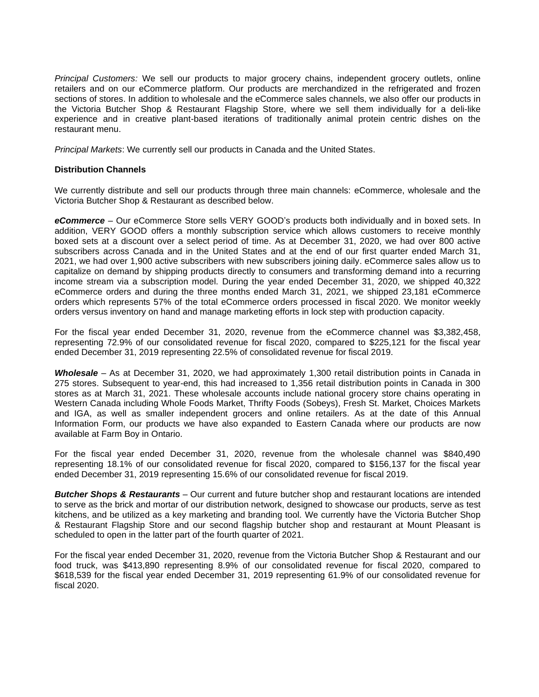*Principal Customers:* We sell our products to major grocery chains, independent grocery outlets, online retailers and on our eCommerce platform. Our products are merchandized in the refrigerated and frozen sections of stores. In addition to wholesale and the eCommerce sales channels, we also offer our products in the Victoria Butcher Shop & Restaurant Flagship Store, where we sell them individually for a deli-like experience and in creative plant-based iterations of traditionally animal protein centric dishes on the restaurant menu.

*Principal Markets*: We currently sell our products in Canada and the United States.

## <span id="page-10-0"></span>**Distribution Channels**

We currently distribute and sell our products through three main channels: eCommerce, wholesale and the Victoria Butcher Shop & Restaurant as described below.

*eCommerce* – Our eCommerce Store sells VERY GOOD's products both individually and in boxed sets. In addition, VERY GOOD offers a monthly subscription service which allows customers to receive monthly boxed sets at a discount over a select period of time. As at December 31, 2020, we had over 800 active subscribers across Canada and in the United States and at the end of our first quarter ended March 31, 2021, we had over 1,900 active subscribers with new subscribers joining daily. eCommerce sales allow us to capitalize on demand by shipping products directly to consumers and transforming demand into a recurring income stream via a subscription model. During the year ended December 31, 2020, we shipped 40,322 eCommerce orders and during the three months ended March 31, 2021, we shipped 23,181 eCommerce orders which represents 57% of the total eCommerce orders processed in fiscal 2020. We monitor weekly orders versus inventory on hand and manage marketing efforts in lock step with production capacity.

For the fiscal year ended December 31, 2020, revenue from the eCommerce channel was \$3,382,458, representing 72.9% of our consolidated revenue for fiscal 2020, compared to \$225,121 for the fiscal year ended December 31, 2019 representing 22.5% of consolidated revenue for fiscal 2019.

*Wholesale* – As at December 31, 2020, we had approximately 1,300 retail distribution points in Canada in 275 stores. Subsequent to year-end, this had increased to 1,356 retail distribution points in Canada in 300 stores as at March 31, 2021. These wholesale accounts include national grocery store chains operating in Western Canada including Whole Foods Market, Thrifty Foods (Sobeys), Fresh St. Market, Choices Markets and IGA, as well as smaller independent grocers and online retailers. As at the date of this Annual Information Form, our products we have also expanded to Eastern Canada where our products are now available at Farm Boy in Ontario.

For the fiscal year ended December 31, 2020, revenue from the wholesale channel was \$840,490 representing 18.1% of our consolidated revenue for fiscal 2020, compared to \$156,137 for the fiscal year ended December 31, 2019 representing 15.6% of our consolidated revenue for fiscal 2019.

*Butcher Shops & Restaurants* – Our current and future butcher shop and restaurant locations are intended to serve as the brick and mortar of our distribution network, designed to showcase our products, serve as test kitchens, and be utilized as a key marketing and branding tool. We currently have the Victoria Butcher Shop & Restaurant Flagship Store and our second flagship butcher shop and restaurant at Mount Pleasant is scheduled to open in the latter part of the fourth quarter of 2021.

<span id="page-10-1"></span>For the fiscal year ended December 31, 2020, revenue from the Victoria Butcher Shop & Restaurant and our food truck, was \$413,890 representing 8.9% of our consolidated revenue for fiscal 2020, compared to \$618,539 for the fiscal year ended December 31, 2019 representing 61.9% of our consolidated revenue for fiscal 2020.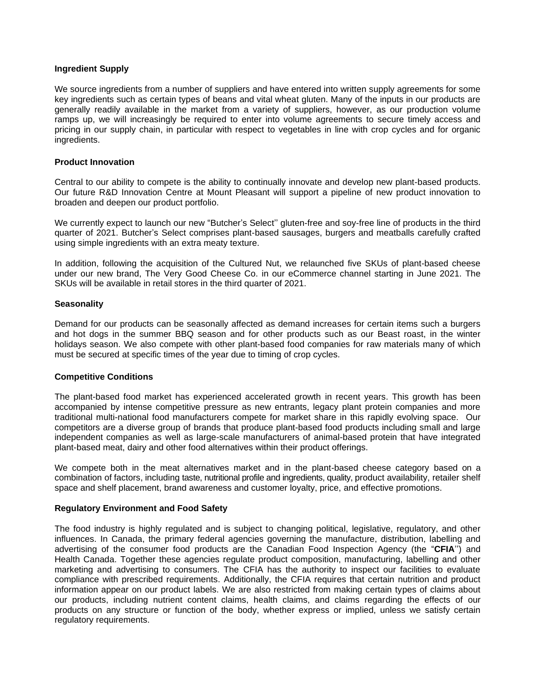## **Ingredient Supply**

We source ingredients from a number of suppliers and have entered into written supply agreements for some key ingredients such as certain types of beans and vital wheat gluten. Many of the inputs in our products are generally readily available in the market from a variety of suppliers, however, as our production volume ramps up, we will increasingly be required to enter into volume agreements to secure timely access and pricing in our supply chain, in particular with respect to vegetables in line with crop cycles and for organic ingredients.

#### <span id="page-11-0"></span>**Product Innovation**

Central to our ability to compete is the ability to continually innovate and develop new plant-based products. Our future R&D Innovation Centre at Mount Pleasant will support a pipeline of new product innovation to broaden and deepen our product portfolio.

We currently expect to launch our new "Butcher's Select'' gluten-free and soy-free line of products in the third quarter of 2021. Butcher's Select comprises plant-based sausages, burgers and meatballs carefully crafted using simple ingredients with an extra meaty texture.

In addition, following the acquisition of the Cultured Nut, we relaunched five SKUs of plant-based cheese under our new brand, The Very Good Cheese Co. in our eCommerce channel starting in June 2021. The SKUs will be available in retail stores in the third quarter of 2021.

#### <span id="page-11-1"></span>**Seasonality**

Demand for our products can be seasonally affected as demand increases for certain items such a burgers and hot dogs in the summer BBQ season and for other products such as our Beast roast, in the winter holidays season. We also compete with other plant-based food companies for raw materials many of which must be secured at specific times of the year due to timing of crop cycles.

## <span id="page-11-2"></span>**Competitive Conditions**

The plant-based food market has experienced accelerated growth in recent years. This growth has been accompanied by intense competitive pressure as new entrants, legacy plant protein companies and more traditional multi-national food manufacturers compete for market share in this rapidly evolving space. Our competitors are a diverse group of brands that produce plant-based food products including small and large independent companies as well as large-scale manufacturers of animal-based protein that have integrated plant-based meat, dairy and other food alternatives within their product offerings.

We compete both in the meat alternatives market and in the plant-based cheese category based on a combination of factors, including taste, nutritional profile and ingredients, quality, product availability, retailer shelf space and shelf placement, brand awareness and customer loyalty, price, and effective promotions.

## <span id="page-11-3"></span>**Regulatory Environment and Food Safety**

The food industry is highly regulated and is subject to changing political, legislative, regulatory, and other influences. In Canada, the primary federal agencies governing the manufacture, distribution, labelling and advertising of the consumer food products are the Canadian Food Inspection Agency (the "**CFIA**'') and Health Canada. Together these agencies regulate product composition, manufacturing, labelling and other marketing and advertising to consumers. The CFIA has the authority to inspect our facilities to evaluate compliance with prescribed requirements. Additionally, the CFIA requires that certain nutrition and product information appear on our product labels. We are also restricted from making certain types of claims about our products, including nutrient content claims, health claims, and claims regarding the effects of our products on any structure or function of the body, whether express or implied, unless we satisfy certain regulatory requirements.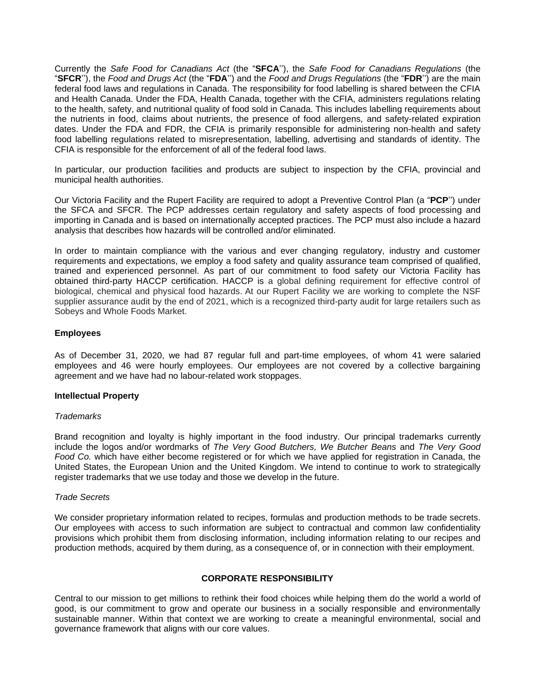Currently the *Safe Food for Canadians Act* (the "**SFCA**''), the *Safe Food for Canadians Regulations* (the "**SFCR**''), the *Food and Drugs Act* (the "**FDA**'') and the *Food and Drugs Regulations* (the "**FDR**'') are the main federal food laws and regulations in Canada. The responsibility for food labelling is shared between the CFIA and Health Canada. Under the FDA, Health Canada, together with the CFIA, administers regulations relating to the health, safety, and nutritional quality of food sold in Canada. This includes labelling requirements about the nutrients in food, claims about nutrients, the presence of food allergens, and safety-related expiration dates. Under the FDA and FDR, the CFIA is primarily responsible for administering non-health and safety food labelling regulations related to misrepresentation, labelling, advertising and standards of identity. The CFIA is responsible for the enforcement of all of the federal food laws.

In particular, our production facilities and products are subject to inspection by the CFIA, provincial and municipal health authorities.

Our Victoria Facility and the Rupert Facility are required to adopt a Preventive Control Plan (a "**PCP**'') under the SFCA and SFCR. The PCP addresses certain regulatory and safety aspects of food processing and importing in Canada and is based on internationally accepted practices. The PCP must also include a hazard analysis that describes how hazards will be controlled and/or eliminated.

In order to maintain compliance with the various and ever changing regulatory, industry and customer requirements and expectations, we employ a food safety and quality assurance team comprised of qualified, trained and experienced personnel. As part of our commitment to food safety our Victoria Facility has obtained third-party HACCP certification. HACCP is a global defining requirement for effective control of biological, chemical and physical food hazards. At our Rupert Facility we are working to complete the NSF supplier assurance audit by the end of 2021, which is a recognized third-party audit for large retailers such as Sobeys and Whole Foods Market.

## <span id="page-12-0"></span>**Employees**

As of December 31, 2020, we had 87 regular full and part-time employees, of whom 41 were salaried employees and 46 were hourly employees. Our employees are not covered by a collective bargaining agreement and we have had no labour-related work stoppages.

#### <span id="page-12-1"></span>**Intellectual Property**

#### *Trademarks*

Brand recognition and loyalty is highly important in the food industry. Our principal trademarks currently include the logos and/or wordmarks of *The Very Good Butchers, We Butcher Beans* and *The Very Good Food Co.* which have either become registered or for which we have applied for registration in Canada, the United States, the European Union and the United Kingdom. We intend to continue to work to strategically register trademarks that we use today and those we develop in the future.

#### *Trade Secrets*

We consider proprietary information related to recipes, formulas and production methods to be trade secrets. Our employees with access to such information are subject to contractual and common law confidentiality provisions which prohibit them from disclosing information, including information relating to our recipes and production methods, acquired by them during, as a consequence of, or in connection with their employment.

## **CORPORATE RESPONSIBILITY**

<span id="page-12-2"></span>Central to our mission to get millions to rethink their food choices while helping them do the world a world of good, is our commitment to grow and operate our business in a socially responsible and environmentally sustainable manner. Within that context we are working to create a meaningful environmental, social and governance framework that aligns with our core values.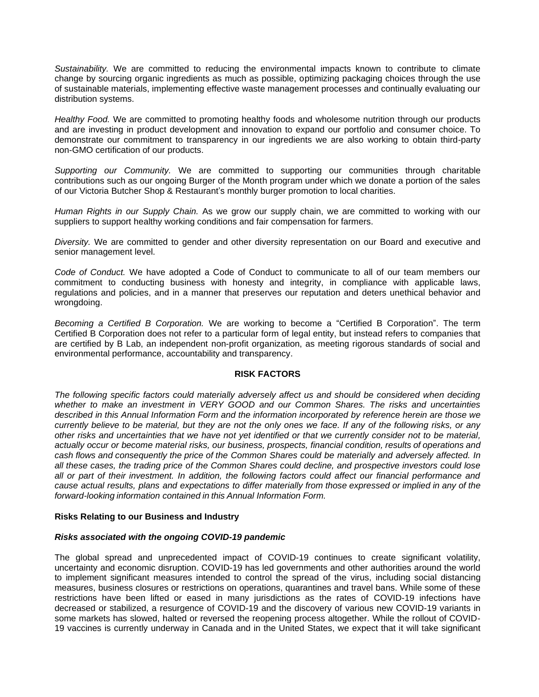*Sustainability.* We are committed to reducing the environmental impacts known to contribute to climate change by sourcing organic ingredients as much as possible, optimizing packaging choices through the use of sustainable materials, implementing effective waste management processes and continually evaluating our distribution systems.

*Healthy Food.* We are committed to promoting healthy foods and wholesome nutrition through our products and are investing in product development and innovation to expand our portfolio and consumer choice. To demonstrate our commitment to transparency in our ingredients we are also working to obtain third-party non-GMO certification of our products.

*Supporting our Community.* We are committed to supporting our communities through charitable contributions such as our ongoing Burger of the Month program under which we donate a portion of the sales of our Victoria Butcher Shop & Restaurant's monthly burger promotion to local charities.

*Human Rights in our Supply Chain.* As we grow our supply chain, we are committed to working with our suppliers to support healthy working conditions and fair compensation for farmers.

*Diversity.* We are committed to gender and other diversity representation on our Board and executive and senior management level.

*Code of Conduct.* We have adopted a Code of Conduct to communicate to all of our team members our commitment to conducting business with honesty and integrity, in compliance with applicable laws, regulations and policies, and in a manner that preserves our reputation and deters unethical behavior and wrongdoing.

*Becoming a Certified B Corporation.* We are working to become a "Certified B Corporation". The term Certified B Corporation does not refer to a particular form of legal entity, but instead refers to companies that are certified by B Lab, an independent non-profit organization, as meeting rigorous standards of social and environmental performance, accountability and transparency.

## **RISK FACTORS**

<span id="page-13-0"></span>*The following specific factors could materially adversely affect us and should be considered when deciding whether to make an investment in VERY GOOD and our Common Shares. The risks and uncertainties described in this Annual Information Form and the information incorporated by reference herein are those we currently believe to be material, but they are not the only ones we face. If any of the following risks, or any other risks and uncertainties that we have not yet identified or that we currently consider not to be material, actually occur or become material risks, our business, prospects, financial condition, results of operations and cash flows and consequently the price of the Common Shares could be materially and adversely affected. In all these cases, the trading price of the Common Shares could decline, and prospective investors could lose all or part of their investment. In addition, the following factors could affect our financial performance and cause actual results, plans and expectations to differ materially from those expressed or implied in any of the forward-looking information contained in this Annual Information Form.*

#### <span id="page-13-1"></span>**Risks Relating to our Business and Industry**

#### *Risks associated with the ongoing COVID-19 pandemic*

The global spread and unprecedented impact of COVID-19 continues to create significant volatility, uncertainty and economic disruption. COVID-19 has led governments and other authorities around the world to implement significant measures intended to control the spread of the virus, including social distancing measures, business closures or restrictions on operations, quarantines and travel bans. While some of these restrictions have been lifted or eased in many jurisdictions as the rates of COVID-19 infections have decreased or stabilized, a resurgence of COVID-19 and the discovery of various new COVID-19 variants in some markets has slowed, halted or reversed the reopening process altogether. While the rollout of COVID-19 vaccines is currently underway in Canada and in the United States, we expect that it will take significant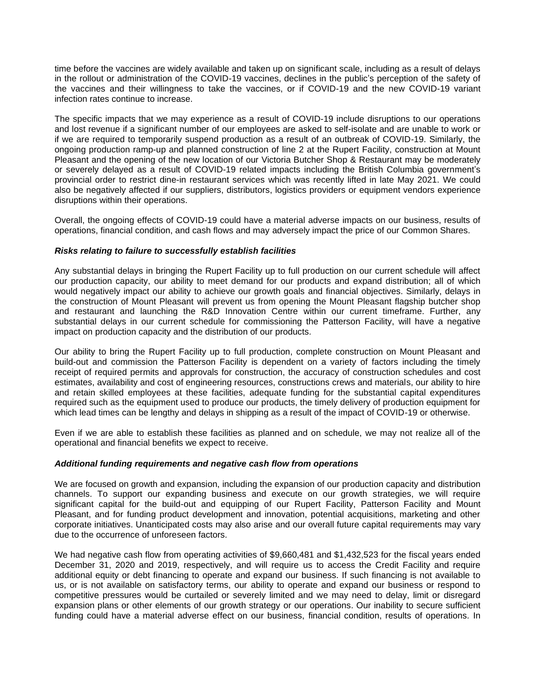time before the vaccines are widely available and taken up on significant scale, including as a result of delays in the rollout or administration of the COVID-19 vaccines, declines in the public's perception of the safety of the vaccines and their willingness to take the vaccines, or if COVID-19 and the new COVID-19 variant infection rates continue to increase.

The specific impacts that we may experience as a result of COVID-19 include disruptions to our operations and lost revenue if a significant number of our employees are asked to self-isolate and are unable to work or if we are required to temporarily suspend production as a result of an outbreak of COVID-19. Similarly, the ongoing production ramp-up and planned construction of line 2 at the Rupert Facility, construction at Mount Pleasant and the opening of the new location of our Victoria Butcher Shop & Restaurant may be moderately or severely delayed as a result of COVID-19 related impacts including the British Columbia government's provincial order to restrict dine-in restaurant services which was recently lifted in late May 2021. We could also be negatively affected if our suppliers, distributors, logistics providers or equipment vendors experience disruptions within their operations.

Overall, the ongoing effects of COVID-19 could have a material adverse impacts on our business, results of operations, financial condition, and cash flows and may adversely impact the price of our Common Shares.

#### *Risks relating to failure to successfully establish facilities*

Any substantial delays in bringing the Rupert Facility up to full production on our current schedule will affect our production capacity, our ability to meet demand for our products and expand distribution; all of which would negatively impact our ability to achieve our growth goals and financial objectives. Similarly, delays in the construction of Mount Pleasant will prevent us from opening the Mount Pleasant flagship butcher shop and restaurant and launching the R&D Innovation Centre within our current timeframe. Further, any substantial delays in our current schedule for commissioning the Patterson Facility, will have a negative impact on production capacity and the distribution of our products.

Our ability to bring the Rupert Facility up to full production, complete construction on Mount Pleasant and build-out and commission the Patterson Facility is dependent on a variety of factors including the timely receipt of required permits and approvals for construction, the accuracy of construction schedules and cost estimates, availability and cost of engineering resources, constructions crews and materials, our ability to hire and retain skilled employees at these facilities, adequate funding for the substantial capital expenditures required such as the equipment used to produce our products, the timely delivery of production equipment for which lead times can be lengthy and delays in shipping as a result of the impact of COVID-19 or otherwise.

Even if we are able to establish these facilities as planned and on schedule, we may not realize all of the operational and financial benefits we expect to receive.

#### *Additional funding requirements and negative cash flow from operations*

We are focused on growth and expansion, including the expansion of our production capacity and distribution channels. To support our expanding business and execute on our growth strategies, we will require significant capital for the build-out and equipping of our Rupert Facility, Patterson Facility and Mount Pleasant, and for funding product development and innovation, potential acquisitions, marketing and other corporate initiatives. Unanticipated costs may also arise and our overall future capital requirements may vary due to the occurrence of unforeseen factors.

We had negative cash flow from operating activities of \$9,660,481 and \$1,432,523 for the fiscal years ended December 31, 2020 and 2019, respectively, and will require us to access the Credit Facility and require additional equity or debt financing to operate and expand our business. If such financing is not available to us, or is not available on satisfactory terms, our ability to operate and expand our business or respond to competitive pressures would be curtailed or severely limited and we may need to delay, limit or disregard expansion plans or other elements of our growth strategy or our operations. Our inability to secure sufficient funding could have a material adverse effect on our business, financial condition, results of operations. In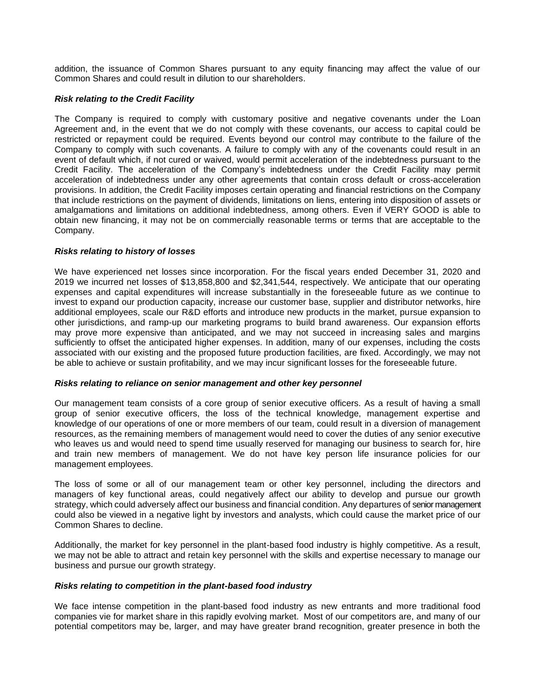addition, the issuance of Common Shares pursuant to any equity financing may affect the value of our Common Shares and could result in dilution to our shareholders.

## *Risk relating to the Credit Facility*

The Company is required to comply with customary positive and negative covenants under the Loan Agreement and, in the event that we do not comply with these covenants, our access to capital could be restricted or repayment could be required. Events beyond our control may contribute to the failure of the Company to comply with such covenants. A failure to comply with any of the covenants could result in an event of default which, if not cured or waived, would permit acceleration of the indebtedness pursuant to the Credit Facility. The acceleration of the Company's indebtedness under the Credit Facility may permit acceleration of indebtedness under any other agreements that contain cross default or cross-acceleration provisions. In addition, the Credit Facility imposes certain operating and financial restrictions on the Company that include restrictions on the payment of dividends, limitations on liens, entering into disposition of assets or amalgamations and limitations on additional indebtedness, among others. Even if VERY GOOD is able to obtain new financing, it may not be on commercially reasonable terms or terms that are acceptable to the Company.

## *Risks relating to history of losses*

We have experienced net losses since incorporation. For the fiscal years ended December 31, 2020 and 2019 we incurred net losses of \$13,858,800 and \$2,341,544, respectively. We anticipate that our operating expenses and capital expenditures will increase substantially in the foreseeable future as we continue to invest to expand our production capacity, increase our customer base, supplier and distributor networks, hire additional employees, scale our R&D efforts and introduce new products in the market, pursue expansion to other jurisdictions, and ramp-up our marketing programs to build brand awareness. Our expansion efforts may prove more expensive than anticipated, and we may not succeed in increasing sales and margins sufficiently to offset the anticipated higher expenses. In addition, many of our expenses, including the costs associated with our existing and the proposed future production facilities, are fixed. Accordingly, we may not be able to achieve or sustain profitability, and we may incur significant losses for the foreseeable future.

## *Risks relating to reliance on senior management and other key personnel*

Our management team consists of a core group of senior executive officers. As a result of having a small group of senior executive officers, the loss of the technical knowledge, management expertise and knowledge of our operations of one or more members of our team, could result in a diversion of management resources, as the remaining members of management would need to cover the duties of any senior executive who leaves us and would need to spend time usually reserved for managing our business to search for, hire and train new members of management. We do not have key person life insurance policies for our management employees.

The loss of some or all of our management team or other key personnel, including the directors and managers of key functional areas, could negatively affect our ability to develop and pursue our growth strategy, which could adversely affect our business and financial condition. Any departures of senior management could also be viewed in a negative light by investors and analysts, which could cause the market price of our Common Shares to decline.

Additionally, the market for key personnel in the plant-based food industry is highly competitive. As a result, we may not be able to attract and retain key personnel with the skills and expertise necessary to manage our business and pursue our growth strategy.

## *Risks relating to competition in the plant-based food industry*

We face intense competition in the plant-based food industry as new entrants and more traditional food companies vie for market share in this rapidly evolving market. Most of our competitors are, and many of our potential competitors may be, larger, and may have greater brand recognition, greater presence in both the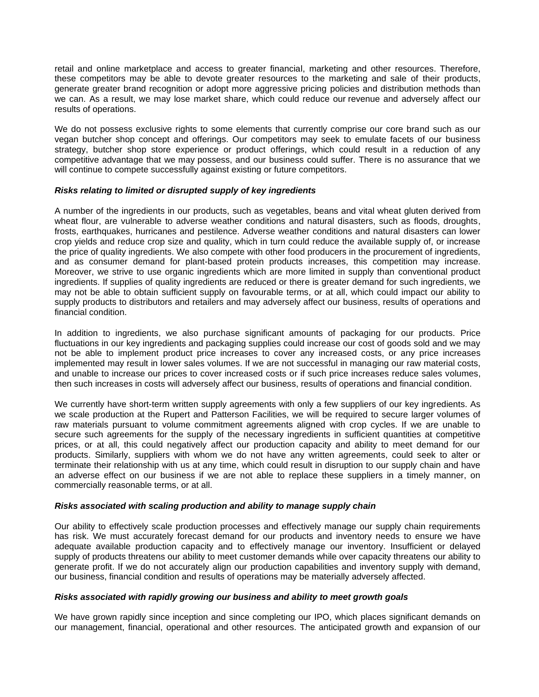retail and online marketplace and access to greater financial, marketing and other resources. Therefore, these competitors may be able to devote greater resources to the marketing and sale of their products, generate greater brand recognition or adopt more aggressive pricing policies and distribution methods than we can. As a result, we may lose market share, which could reduce our revenue and adversely affect our results of operations.

We do not possess exclusive rights to some elements that currently comprise our core brand such as our vegan butcher shop concept and offerings. Our competitors may seek to emulate facets of our business strategy, butcher shop store experience or product offerings, which could result in a reduction of any competitive advantage that we may possess, and our business could suffer. There is no assurance that we will continue to compete successfully against existing or future competitors.

#### *Risks relating to limited or disrupted supply of key ingredients*

A number of the ingredients in our products, such as vegetables, beans and vital wheat gluten derived from wheat flour, are vulnerable to adverse weather conditions and natural disasters, such as floods, droughts, frosts, earthquakes, hurricanes and pestilence. Adverse weather conditions and natural disasters can lower crop yields and reduce crop size and quality, which in turn could reduce the available supply of, or increase the price of quality ingredients. We also compete with other food producers in the procurement of ingredients, and as consumer demand for plant-based protein products increases, this competition may increase. Moreover, we strive to use organic ingredients which are more limited in supply than conventional product ingredients. If supplies of quality ingredients are reduced or there is greater demand for such ingredients, we may not be able to obtain sufficient supply on favourable terms, or at all, which could impact our ability to supply products to distributors and retailers and may adversely affect our business, results of operations and financial condition.

In addition to ingredients, we also purchase significant amounts of packaging for our products. Price fluctuations in our key ingredients and packaging supplies could increase our cost of goods sold and we may not be able to implement product price increases to cover any increased costs, or any price increases implemented may result in lower sales volumes. If we are not successful in managing our raw material costs, and unable to increase our prices to cover increased costs or if such price increases reduce sales volumes, then such increases in costs will adversely affect our business, results of operations and financial condition.

We currently have short-term written supply agreements with only a few suppliers of our key ingredients. As we scale production at the Rupert and Patterson Facilities, we will be required to secure larger volumes of raw materials pursuant to volume commitment agreements aligned with crop cycles. If we are unable to secure such agreements for the supply of the necessary ingredients in sufficient quantities at competitive prices, or at all, this could negatively affect our production capacity and ability to meet demand for our products. Similarly, suppliers with whom we do not have any written agreements, could seek to alter or terminate their relationship with us at any time, which could result in disruption to our supply chain and have an adverse effect on our business if we are not able to replace these suppliers in a timely manner, on commercially reasonable terms, or at all.

#### *Risks associated with scaling production and ability to manage supply chain*

Our ability to effectively scale production processes and effectively manage our supply chain requirements has risk. We must accurately forecast demand for our products and inventory needs to ensure we have adequate available production capacity and to effectively manage our inventory. Insufficient or delayed supply of products threatens our ability to meet customer demands while over capacity threatens our ability to generate profit. If we do not accurately align our production capabilities and inventory supply with demand, our business, financial condition and results of operations may be materially adversely affected.

#### *Risks associated with rapidly growing our business and ability to meet growth goals*

We have grown rapidly since inception and since completing our IPO, which places significant demands on our management, financial, operational and other resources. The anticipated growth and expansion of our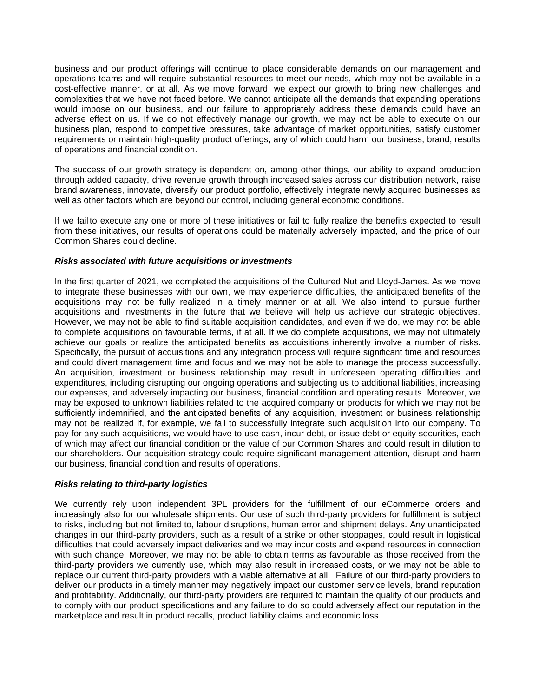business and our product offerings will continue to place considerable demands on our management and operations teams and will require substantial resources to meet our needs, which may not be available in a cost-effective manner, or at all. As we move forward, we expect our growth to bring new challenges and complexities that we have not faced before. We cannot anticipate all the demands that expanding operations would impose on our business, and our failure to appropriately address these demands could have an adverse effect on us. If we do not effectively manage our growth, we may not be able to execute on our business plan, respond to competitive pressures, take advantage of market opportunities, satisfy customer requirements or maintain high-quality product offerings, any of which could harm our business, brand, results of operations and financial condition.

The success of our growth strategy is dependent on, among other things, our ability to expand production through added capacity, drive revenue growth through increased sales across our distribution network, raise brand awareness, innovate, diversify our product portfolio, effectively integrate newly acquired businesses as well as other factors which are beyond our control, including general economic conditions.

If we fail to execute any one or more of these initiatives or fail to fully realize the benefits expected to result from these initiatives, our results of operations could be materially adversely impacted, and the price of our Common Shares could decline.

#### *Risks associated with future acquisitions or investments*

In the first quarter of 2021, we completed the acquisitions of the Cultured Nut and Lloyd-James. As we move to integrate these businesses with our own, we may experience difficulties, the anticipated benefits of the acquisitions may not be fully realized in a timely manner or at all. We also intend to pursue further acquisitions and investments in the future that we believe will help us achieve our strategic objectives. However, we may not be able to find suitable acquisition candidates, and even if we do, we may not be able to complete acquisitions on favourable terms, if at all. If we do complete acquisitions, we may not ultimately achieve our goals or realize the anticipated benefits as acquisitions inherently involve a number of risks. Specifically, the pursuit of acquisitions and any integration process will require significant time and resources and could divert management time and focus and we may not be able to manage the process successfully. An acquisition, investment or business relationship may result in unforeseen operating difficulties and expenditures, including disrupting our ongoing operations and subjecting us to additional liabilities, increasing our expenses, and adversely impacting our business, financial condition and operating results. Moreover, we may be exposed to unknown liabilities related to the acquired company or products for which we may not be sufficiently indemnified, and the anticipated benefits of any acquisition, investment or business relationship may not be realized if, for example, we fail to successfully integrate such acquisition into our company. To pay for any such acquisitions, we would have to use cash, incur debt, or issue debt or equity securities, each of which may affect our financial condition or the value of our Common Shares and could result in dilution to our shareholders. Our acquisition strategy could require significant management attention, disrupt and harm our business, financial condition and results of operations.

## *Risks relating to third-party logistics*

We currently rely upon independent 3PL providers for the fulfillment of our eCommerce orders and increasingly also for our wholesale shipments. Our use of such third-party providers for fulfillment is subject to risks, including but not limited to, labour disruptions, human error and shipment delays. Any unanticipated changes in our third-party providers, such as a result of a strike or other stoppages, could result in logistical difficulties that could adversely impact deliveries and we may incur costs and expend resources in connection with such change. Moreover, we may not be able to obtain terms as favourable as those received from the third-party providers we currently use, which may also result in increased costs, or we may not be able to replace our current third-party providers with a viable alternative at all. Failure of our third-party providers to deliver our products in a timely manner may negatively impact our customer service levels, brand reputation and profitability. Additionally, our third-party providers are required to maintain the quality of our products and to comply with our product specifications and any failure to do so could adversely affect our reputation in the marketplace and result in product recalls, product liability claims and economic loss.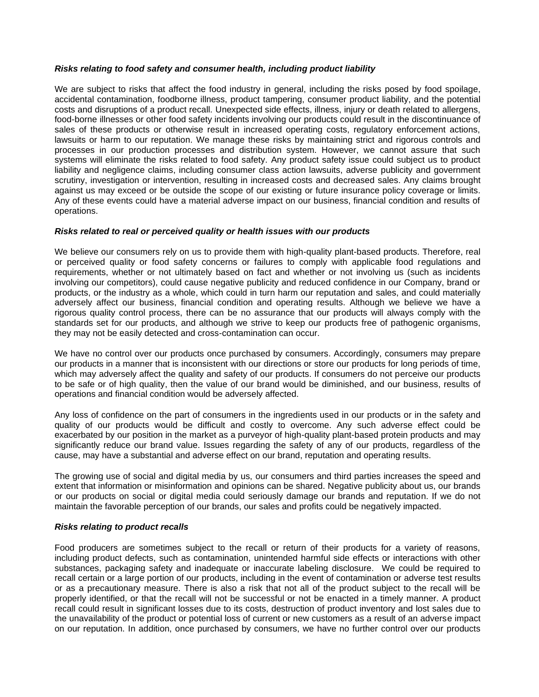## *Risks relating to food safety and consumer health, including product liability*

We are subject to risks that affect the food industry in general, including the risks posed by food spoilage, accidental contamination, foodborne illness, product tampering, consumer product liability, and the potential costs and disruptions of a product recall. Unexpected side effects, illness, injury or death related to allergens, food-borne illnesses or other food safety incidents involving our products could result in the discontinuance of sales of these products or otherwise result in increased operating costs, regulatory enforcement actions, lawsuits or harm to our reputation. We manage these risks by maintaining strict and rigorous controls and processes in our production processes and distribution system. However, we cannot assure that such systems will eliminate the risks related to food safety. Any product safety issue could subject us to product liability and negligence claims, including consumer class action lawsuits, adverse publicity and government scrutiny, investigation or intervention, resulting in increased costs and decreased sales. Any claims brought against us may exceed or be outside the scope of our existing or future insurance policy coverage or limits. Any of these events could have a material adverse impact on our business, financial condition and results of operations.

## *Risks related to real or perceived quality or health issues with our products*

We believe our consumers rely on us to provide them with high-quality plant-based products. Therefore, real or perceived quality or food safety concerns or failures to comply with applicable food regulations and requirements, whether or not ultimately based on fact and whether or not involving us (such as incidents involving our competitors), could cause negative publicity and reduced confidence in our Company, brand or products, or the industry as a whole, which could in turn harm our reputation and sales, and could materially adversely affect our business, financial condition and operating results. Although we believe we have a rigorous quality control process, there can be no assurance that our products will always comply with the standards set for our products, and although we strive to keep our products free of pathogenic organisms, they may not be easily detected and cross-contamination can occur.

We have no control over our products once purchased by consumers. Accordingly, consumers may prepare our products in a manner that is inconsistent with our directions or store our products for long periods of time, which may adversely affect the quality and safety of our products. If consumers do not perceive our products to be safe or of high quality, then the value of our brand would be diminished, and our business, results of operations and financial condition would be adversely affected.

Any loss of confidence on the part of consumers in the ingredients used in our products or in the safety and quality of our products would be difficult and costly to overcome. Any such adverse effect could be exacerbated by our position in the market as a purveyor of high-quality plant-based protein products and may significantly reduce our brand value. Issues regarding the safety of any of our products, regardless of the cause, may have a substantial and adverse effect on our brand, reputation and operating results.

The growing use of social and digital media by us, our consumers and third parties increases the speed and extent that information or misinformation and opinions can be shared. Negative publicity about us, our brands or our products on social or digital media could seriously damage our brands and reputation. If we do not maintain the favorable perception of our brands, our sales and profits could be negatively impacted.

## *Risks relating to product recalls*

Food producers are sometimes subject to the recall or return of their products for a variety of reasons, including product defects, such as contamination, unintended harmful side effects or interactions with other substances, packaging safety and inadequate or inaccurate labeling disclosure. We could be required to recall certain or a large portion of our products, including in the event of contamination or adverse test results or as a precautionary measure. There is also a risk that not all of the product subject to the recall will be properly identified, or that the recall will not be successful or not be enacted in a timely manner. A product recall could result in significant losses due to its costs, destruction of product inventory and lost sales due to the unavailability of the product or potential loss of current or new customers as a result of an adverse impact on our reputation. In addition, once purchased by consumers, we have no further control over our products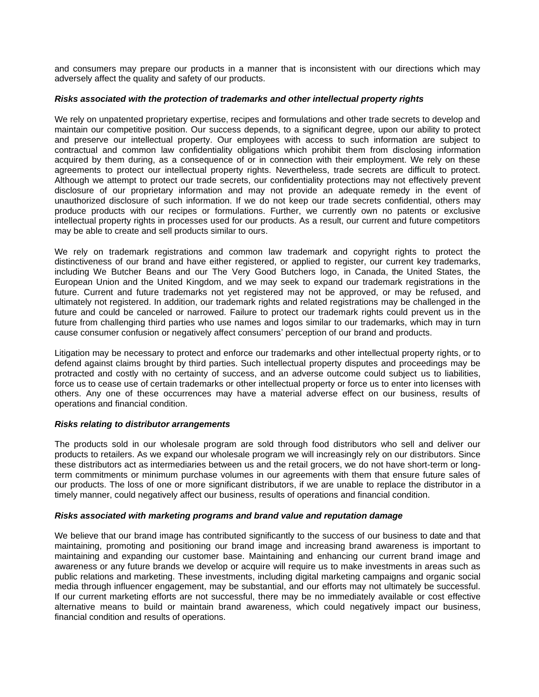and consumers may prepare our products in a manner that is inconsistent with our directions which may adversely affect the quality and safety of our products.

## *Risks associated with the protection of trademarks and other intellectual property rights*

We rely on unpatented proprietary expertise, recipes and formulations and other trade secrets to develop and maintain our competitive position. Our success depends, to a significant degree, upon our ability to protect and preserve our intellectual property. Our employees with access to such information are subject to contractual and common law confidentiality obligations which prohibit them from disclosing information acquired by them during, as a consequence of or in connection with their employment. We rely on these agreements to protect our intellectual property rights. Nevertheless, trade secrets are difficult to protect. Although we attempt to protect our trade secrets, our confidentiality protections may not effectively prevent disclosure of our proprietary information and may not provide an adequate remedy in the event of unauthorized disclosure of such information. If we do not keep our trade secrets confidential, others may produce products with our recipes or formulations. Further, we currently own no patents or exclusive intellectual property rights in processes used for our products. As a result, our current and future competitors may be able to create and sell products similar to ours.

We rely on trademark registrations and common law trademark and copyright rights to protect the distinctiveness of our brand and have either registered, or applied to register, our current key trademarks, including We Butcher Beans and our The Very Good Butchers logo, in Canada, the United States, the European Union and the United Kingdom, and we may seek to expand our trademark registrations in the future. Current and future trademarks not yet registered may not be approved, or may be refused, and ultimately not registered. In addition, our trademark rights and related registrations may be challenged in the future and could be canceled or narrowed. Failure to protect our trademark rights could prevent us in the future from challenging third parties who use names and logos similar to our trademarks, which may in turn cause consumer confusion or negatively affect consumers' perception of our brand and products.

Litigation may be necessary to protect and enforce our trademarks and other intellectual property rights, or to defend against claims brought by third parties. Such intellectual property disputes and proceedings may be protracted and costly with no certainty of success, and an adverse outcome could subject us to liabilities, force us to cease use of certain trademarks or other intellectual property or force us to enter into licenses with others. Any one of these occurrences may have a material adverse effect on our business, results of operations and financial condition.

## *Risks relating to distributor arrangements*

The products sold in our wholesale program are sold through food distributors who sell and deliver our products to retailers. As we expand our wholesale program we will increasingly rely on our distributors. Since these distributors act as intermediaries between us and the retail grocers, we do not have short-term or longterm commitments or minimum purchase volumes in our agreements with them that ensure future sales of our products. The loss of one or more significant distributors, if we are unable to replace the distributor in a timely manner, could negatively affect our business, results of operations and financial condition.

#### *Risks associated with marketing programs and brand value and reputation damage*

We believe that our brand image has contributed significantly to the success of our business to date and that maintaining, promoting and positioning our brand image and increasing brand awareness is important to maintaining and expanding our customer base. Maintaining and enhancing our current brand image and awareness or any future brands we develop or acquire will require us to make investments in areas such as public relations and marketing. These investments, including digital marketing campaigns and organic social media through influencer engagement, may be substantial, and our efforts may not ultimately be successful. If our current marketing efforts are not successful, there may be no immediately available or cost effective alternative means to build or maintain brand awareness, which could negatively impact our business, financial condition and results of operations.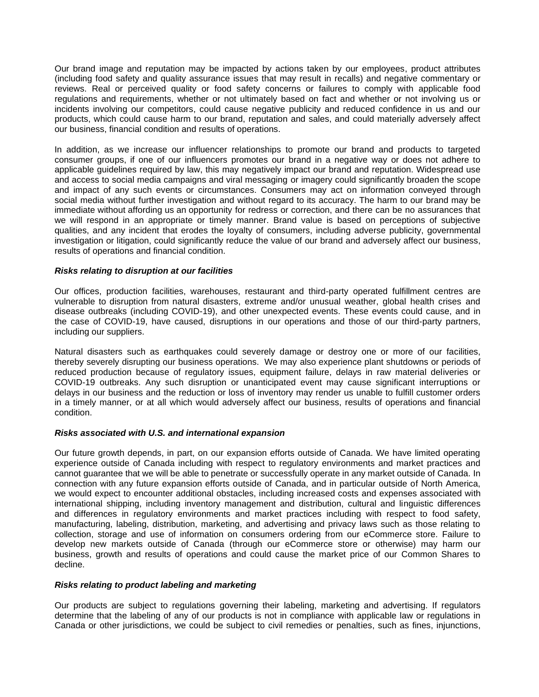Our brand image and reputation may be impacted by actions taken by our employees, product attributes (including food safety and quality assurance issues that may result in recalls) and negative commentary or reviews. Real or perceived quality or food safety concerns or failures to comply with applicable food regulations and requirements, whether or not ultimately based on fact and whether or not involving us or incidents involving our competitors, could cause negative publicity and reduced confidence in us and our products, which could cause harm to our brand, reputation and sales, and could materially adversely affect our business, financial condition and results of operations.

In addition, as we increase our influencer relationships to promote our brand and products to targeted consumer groups, if one of our influencers promotes our brand in a negative way or does not adhere to applicable guidelines required by law, this may negatively impact our brand and reputation. Widespread use and access to social media campaigns and viral messaging or imagery could significantly broaden the scope and impact of any such events or circumstances. Consumers may act on information conveyed through social media without further investigation and without regard to its accuracy. The harm to our brand may be immediate without affording us an opportunity for redress or correction, and there can be no assurances that we will respond in an appropriate or timely manner. Brand value is based on perceptions of subjective qualities, and any incident that erodes the loyalty of consumers, including adverse publicity, governmental investigation or litigation, could significantly reduce the value of our brand and adversely affect our business, results of operations and financial condition.

## *Risks relating to disruption at our facilities*

Our offices, production facilities, warehouses, restaurant and third-party operated fulfillment centres are vulnerable to disruption from natural disasters, extreme and/or unusual weather, global health crises and disease outbreaks (including COVID-19), and other unexpected events. These events could cause, and in the case of COVID-19, have caused, disruptions in our operations and those of our third-party partners, including our suppliers.

Natural disasters such as earthquakes could severely damage or destroy one or more of our facilities, thereby severely disrupting our business operations. We may also experience plant shutdowns or periods of reduced production because of regulatory issues, equipment failure, delays in raw material deliveries or COVID-19 outbreaks. Any such disruption or unanticipated event may cause significant interruptions or delays in our business and the reduction or loss of inventory may render us unable to fulfill customer orders in a timely manner, or at all which would adversely affect our business, results of operations and financial condition.

## *Risks associated with U.S. and international expansion*

Our future growth depends, in part, on our expansion efforts outside of Canada. We have limited operating experience outside of Canada including with respect to regulatory environments and market practices and cannot guarantee that we will be able to penetrate or successfully operate in any market outside of Canada. In connection with any future expansion efforts outside of Canada, and in particular outside of North America, we would expect to encounter additional obstacles, including increased costs and expenses associated with international shipping, including inventory management and distribution, cultural and linguistic differences and differences in regulatory environments and market practices including with respect to food safety, manufacturing, labeling, distribution, marketing, and advertising and privacy laws such as those relating to collection, storage and use of information on consumers ordering from our eCommerce store. Failure to develop new markets outside of Canada (through our eCommerce store or otherwise) may harm our business, growth and results of operations and could cause the market price of our Common Shares to decline.

#### *Risks relating to product labeling and marketing*

Our products are subject to regulations governing their labeling, marketing and advertising. If regulators determine that the labeling of any of our products is not in compliance with applicable law or regulations in Canada or other jurisdictions, we could be subject to civil remedies or penalties, such as fines, injunctions,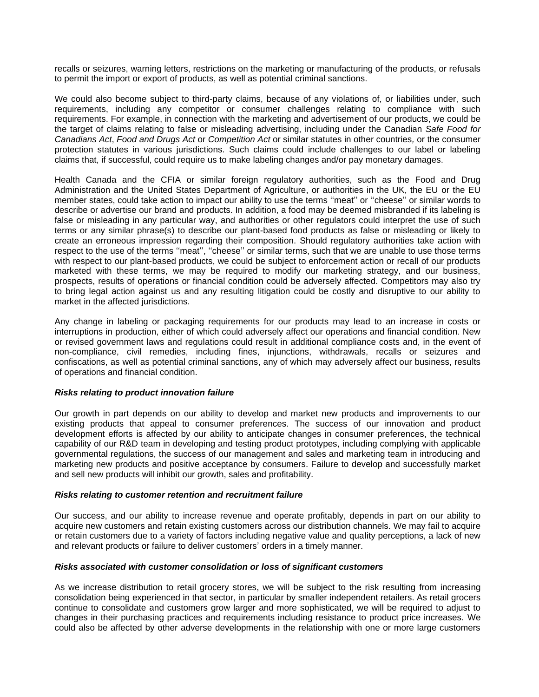recalls or seizures, warning letters, restrictions on the marketing or manufacturing of the products, or refusals to permit the import or export of products, as well as potential criminal sanctions.

We could also become subject to third-party claims, because of any violations of, or liabilities under, such requirements, including any competitor or consumer challenges relating to compliance with such requirements. For example, in connection with the marketing and advertisement of our products, we could be the target of claims relating to false or misleading advertising, including under the Canadian *Safe Food for Canadians Act*, *Food and Drugs Act* or *Competition Act* or similar statutes in other countries*,* or the consumer protection statutes in various jurisdictions. Such claims could include challenges to our label or labeling claims that, if successful, could require us to make labeling changes and/or pay monetary damages.

Health Canada and the CFIA or similar foreign regulatory authorities, such as the Food and Drug Administration and the United States Department of Agriculture, or authorities in the UK, the EU or the EU member states, could take action to impact our ability to use the terms ''meat'' or ''cheese'' or similar words to describe or advertise our brand and products. In addition, a food may be deemed misbranded if its labeling is false or misleading in any particular way, and authorities or other regulators could interpret the use of such terms or any similar phrase(s) to describe our plant-based food products as false or misleading or likely to create an erroneous impression regarding their composition. Should regulatory authorities take action with respect to the use of the terms "meat", "cheese" or similar terms, such that we are unable to use those terms with respect to our plant-based products, we could be subject to enforcement action or recall of our products marketed with these terms, we may be required to modify our marketing strategy, and our business, prospects, results of operations or financial condition could be adversely affected. Competitors may also try to bring legal action against us and any resulting litigation could be costly and disruptive to our ability to market in the affected jurisdictions.

Any change in labeling or packaging requirements for our products may lead to an increase in costs or interruptions in production, either of which could adversely affect our operations and financial condition. New or revised government laws and regulations could result in additional compliance costs and, in the event of non-compliance, civil remedies, including fines, injunctions, withdrawals, recalls or seizures and confiscations, as well as potential criminal sanctions, any of which may adversely affect our business, results of operations and financial condition.

#### *Risks relating to product innovation failure*

Our growth in part depends on our ability to develop and market new products and improvements to our existing products that appeal to consumer preferences. The success of our innovation and product development efforts is affected by our ability to anticipate changes in consumer preferences, the technical capability of our R&D team in developing and testing product prototypes, including complying with applicable governmental regulations, the success of our management and sales and marketing team in introducing and marketing new products and positive acceptance by consumers. Failure to develop and successfully market and sell new products will inhibit our growth, sales and profitability.

#### *Risks relating to customer retention and recruitment failure*

Our success, and our ability to increase revenue and operate profitably, depends in part on our ability to acquire new customers and retain existing customers across our distribution channels. We may fail to acquire or retain customers due to a variety of factors including negative value and quality perceptions, a lack of new and relevant products or failure to deliver customers' orders in a timely manner.

#### *Risks associated with customer consolidation or loss of significant customers*

As we increase distribution to retail grocery stores, we will be subject to the risk resulting from increasing consolidation being experienced in that sector, in particular by smaller independent retailers. As retail grocers continue to consolidate and customers grow larger and more sophisticated, we will be required to adjust to changes in their purchasing practices and requirements including resistance to product price increases. We could also be affected by other adverse developments in the relationship with one or more large customers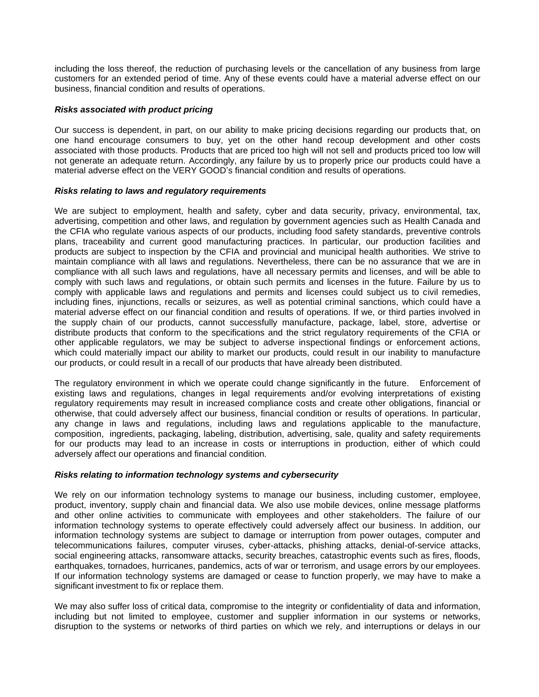including the loss thereof, the reduction of purchasing levels or the cancellation of any business from large customers for an extended period of time. Any of these events could have a material adverse effect on our business, financial condition and results of operations.

## *Risks associated with product pricing*

Our success is dependent, in part, on our ability to make pricing decisions regarding our products that, on one hand encourage consumers to buy, yet on the other hand recoup development and other costs associated with those products. Products that are priced too high will not sell and products priced too low will not generate an adequate return. Accordingly, any failure by us to properly price our products could have a material adverse effect on the VERY GOOD's financial condition and results of operations.

#### *Risks relating to laws and regulatory requirements*

We are subject to employment, health and safety, cyber and data security, privacy, environmental, tax, advertising, competition and other laws, and regulation by government agencies such as Health Canada and the CFIA who regulate various aspects of our products, including food safety standards, preventive controls plans, traceability and current good manufacturing practices. In particular, our production facilities and products are subject to inspection by the CFIA and provincial and municipal health authorities. We strive to maintain compliance with all laws and regulations. Nevertheless, there can be no assurance that we are in compliance with all such laws and regulations, have all necessary permits and licenses, and will be able to comply with such laws and regulations, or obtain such permits and licenses in the future. Failure by us to comply with applicable laws and regulations and permits and licenses could subject us to civil remedies, including fines, injunctions, recalls or seizures, as well as potential criminal sanctions, which could have a material adverse effect on our financial condition and results of operations. If we, or third parties involved in the supply chain of our products, cannot successfully manufacture, package, label, store, advertise or distribute products that conform to the specifications and the strict regulatory requirements of the CFIA or other applicable regulators, we may be subject to adverse inspectional findings or enforcement actions, which could materially impact our ability to market our products, could result in our inability to manufacture our products, or could result in a recall of our products that have already been distributed.

The regulatory environment in which we operate could change significantly in the future. Enforcement of existing laws and regulations, changes in legal requirements and/or evolving interpretations of existing regulatory requirements may result in increased compliance costs and create other obligations, financial or otherwise, that could adversely affect our business, financial condition or results of operations. In particular, any change in laws and regulations, including laws and regulations applicable to the manufacture, composition, ingredients, packaging, labeling, distribution, advertising, sale, quality and safety requirements for our products may lead to an increase in costs or interruptions in production, either of which could adversely affect our operations and financial condition.

## *Risks relating to information technology systems and cybersecurity*

We rely on our information technology systems to manage our business, including customer, employee, product, inventory, supply chain and financial data. We also use mobile devices, online message platforms and other online activities to communicate with employees and other stakeholders. The failure of our information technology systems to operate effectively could adversely affect our business. In addition, our information technology systems are subject to damage or interruption from power outages, computer and telecommunications failures, computer viruses, cyber-attacks, phishing attacks, denial-of-service attacks, social engineering attacks, ransomware attacks, security breaches, catastrophic events such as fires, floods, earthquakes, tornadoes, hurricanes, pandemics, acts of war or terrorism, and usage errors by our employees. If our information technology systems are damaged or cease to function properly, we may have to make a significant investment to fix or replace them.

We may also suffer loss of critical data, compromise to the integrity or confidentiality of data and information, including but not limited to employee, customer and supplier information in our systems or networks, disruption to the systems or networks of third parties on which we rely, and interruptions or delays in our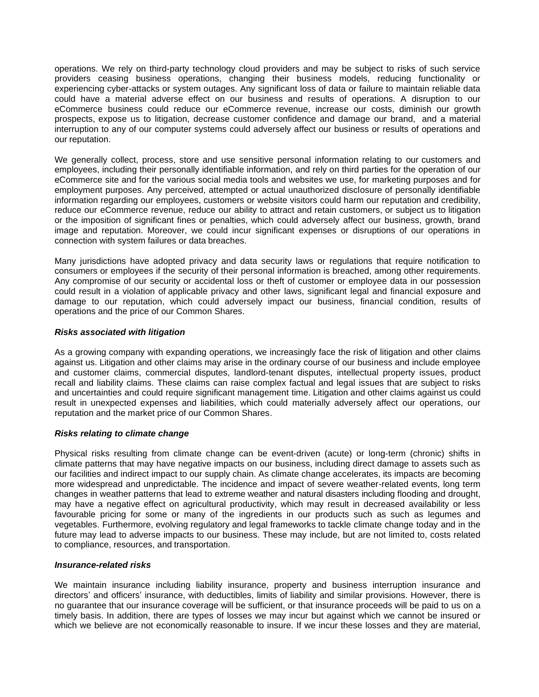operations. We rely on third-party technology cloud providers and may be subject to risks of such service providers ceasing business operations, changing their business models, reducing functionality or experiencing cyber-attacks or system outages. Any significant loss of data or failure to maintain reliable data could have a material adverse effect on our business and results of operations. A disruption to our eCommerce business could reduce our eCommerce revenue, increase our costs, diminish our growth prospects, expose us to litigation, decrease customer confidence and damage our brand, and a material interruption to any of our computer systems could adversely affect our business or results of operations and our reputation.

We generally collect, process, store and use sensitive personal information relating to our customers and employees, including their personally identifiable information, and rely on third parties for the operation of our eCommerce site and for the various social media tools and websites we use, for marketing purposes and for employment purposes. Any perceived, attempted or actual unauthorized disclosure of personally identifiable information regarding our employees, customers or website visitors could harm our reputation and credibility, reduce our eCommerce revenue, reduce our ability to attract and retain customers, or subject us to litigation or the imposition of significant fines or penalties, which could adversely affect our business, growth, brand image and reputation. Moreover, we could incur significant expenses or disruptions of our operations in connection with system failures or data breaches.

Many jurisdictions have adopted privacy and data security laws or regulations that require notification to consumers or employees if the security of their personal information is breached, among other requirements. Any compromise of our security or accidental loss or theft of customer or employee data in our possession could result in a violation of applicable privacy and other laws, significant legal and financial exposure and damage to our reputation, which could adversely impact our business, financial condition, results of operations and the price of our Common Shares.

## *Risks associated with litigation*

As a growing company with expanding operations, we increasingly face the risk of litigation and other claims against us. Litigation and other claims may arise in the ordinary course of our business and include employee and customer claims, commercial disputes, landlord-tenant disputes, intellectual property issues, product recall and liability claims. These claims can raise complex factual and legal issues that are subject to risks and uncertainties and could require significant management time. Litigation and other claims against us could result in unexpected expenses and liabilities, which could materially adversely affect our operations, our reputation and the market price of our Common Shares.

## *Risks relating to climate change*

Physical risks resulting from climate change can be event-driven (acute) or long-term (chronic) shifts in climate patterns that may have negative impacts on our business, including direct damage to assets such as our facilities and indirect impact to our supply chain. As climate change accelerates, its impacts are becoming more widespread and unpredictable. The incidence and impact of severe weather-related events, long term changes in weather patterns that lead to extreme weather and natural disasters including flooding and drought, may have a negative effect on agricultural productivity, which may result in decreased availability or less favourable pricing for some or many of the ingredients in our products such as such as legumes and vegetables. Furthermore, evolving regulatory and legal frameworks to tackle climate change today and in the future may lead to adverse impacts to our business. These may include, but are not limited to, costs related to compliance, resources, and transportation.

#### *Insurance-related risks*

We maintain insurance including liability insurance, property and business interruption insurance and directors' and officers' insurance, with deductibles, limits of liability and similar provisions. However, there is no guarantee that our insurance coverage will be sufficient, or that insurance proceeds will be paid to us on a timely basis. In addition, there are types of losses we may incur but against which we cannot be insured or which we believe are not economically reasonable to insure. If we incur these losses and they are material,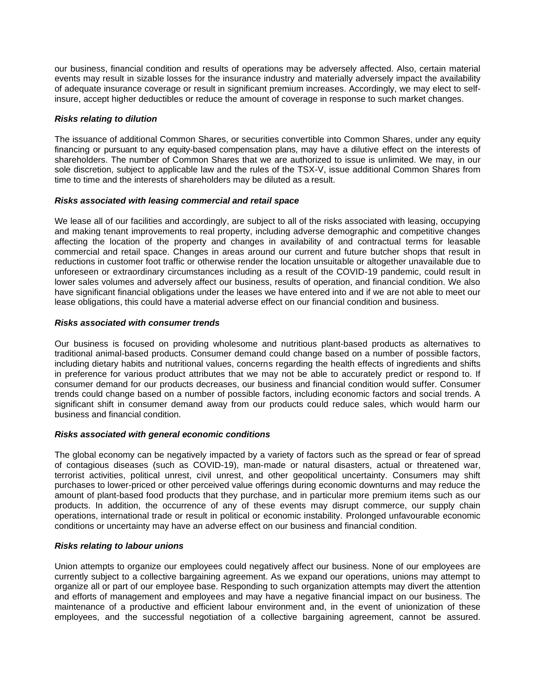our business, financial condition and results of operations may be adversely affected. Also, certain material events may result in sizable losses for the insurance industry and materially adversely impact the availability of adequate insurance coverage or result in significant premium increases. Accordingly, we may elect to selfinsure, accept higher deductibles or reduce the amount of coverage in response to such market changes.

## *Risks relating to dilution*

The issuance of additional Common Shares, or securities convertible into Common Shares, under any equity financing or pursuant to any equity-based compensation plans, may have a dilutive effect on the interests of shareholders. The number of Common Shares that we are authorized to issue is unlimited. We may, in our sole discretion, subject to applicable law and the rules of the TSX-V, issue additional Common Shares from time to time and the interests of shareholders may be diluted as a result.

## *Risks associated with leasing commercial and retail space*

We lease all of our facilities and accordingly, are subject to all of the risks associated with leasing, occupying and making tenant improvements to real property, including adverse demographic and competitive changes affecting the location of the property and changes in availability of and contractual terms for leasable commercial and retail space. Changes in areas around our current and future butcher shops that result in reductions in customer foot traffic or otherwise render the location unsuitable or altogether unavailable due to unforeseen or extraordinary circumstances including as a result of the COVID-19 pandemic, could result in lower sales volumes and adversely affect our business, results of operation, and financial condition. We also have significant financial obligations under the leases we have entered into and if we are not able to meet our lease obligations, this could have a material adverse effect on our financial condition and business.

#### *Risks associated with consumer trends*

Our business is focused on providing wholesome and nutritious plant-based products as alternatives to traditional animal-based products. Consumer demand could change based on a number of possible factors, including dietary habits and nutritional values, concerns regarding the health effects of ingredients and shifts in preference for various product attributes that we may not be able to accurately predict or respond to. If consumer demand for our products decreases, our business and financial condition would suffer. Consumer trends could change based on a number of possible factors, including economic factors and social trends. A significant shift in consumer demand away from our products could reduce sales, which would harm our business and financial condition.

## *Risks associated with general economic conditions*

The global economy can be negatively impacted by a variety of factors such as the spread or fear of spread of contagious diseases (such as COVID-19), man-made or natural disasters, actual or threatened war, terrorist activities, political unrest, civil unrest, and other geopolitical uncertainty. Consumers may shift purchases to lower-priced or other perceived value offerings during economic downturns and may reduce the amount of plant-based food products that they purchase, and in particular more premium items such as our products. In addition, the occurrence of any of these events may disrupt commerce, our supply chain operations, international trade or result in political or economic instability. Prolonged unfavourable economic conditions or uncertainty may have an adverse effect on our business and financial condition.

#### *Risks relating to labour unions*

Union attempts to organize our employees could negatively affect our business. None of our employees are currently subject to a collective bargaining agreement. As we expand our operations, unions may attempt to organize all or part of our employee base. Responding to such organization attempts may divert the attention and efforts of management and employees and may have a negative financial impact on our business. The maintenance of a productive and efficient labour environment and, in the event of unionization of these employees, and the successful negotiation of a collective bargaining agreement, cannot be assured.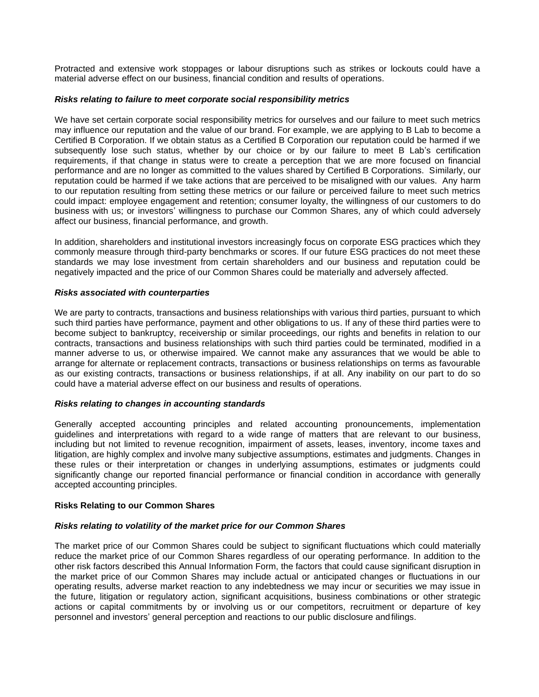Protracted and extensive work stoppages or labour disruptions such as strikes or lockouts could have a material adverse effect on our business, financial condition and results of operations.

## *Risks relating to failure to meet corporate social responsibility metrics*

We have set certain corporate social responsibility metrics for ourselves and our failure to meet such metrics may influence our reputation and the value of our brand. For example, we are applying to B Lab to become a Certified B Corporation. If we obtain status as a Certified B Corporation our reputation could be harmed if we subsequently lose such status, whether by our choice or by our failure to meet B Lab's certification requirements, if that change in status were to create a perception that we are more focused on financial performance and are no longer as committed to the values shared by Certified B Corporations. Similarly, our reputation could be harmed if we take actions that are perceived to be misaligned with our values. Any harm to our reputation resulting from setting these metrics or our failure or perceived failure to meet such metrics could impact: employee engagement and retention; consumer loyalty, the willingness of our customers to do business with us; or investors' willingness to purchase our Common Shares, any of which could adversely affect our business, financial performance, and growth.

In addition, shareholders and institutional investors increasingly focus on corporate ESG practices which they commonly measure through third-party benchmarks or scores. If our future ESG practices do not meet these standards we may lose investment from certain shareholders and our business and reputation could be negatively impacted and the price of our Common Shares could be materially and adversely affected.

#### *Risks associated with counterparties*

We are party to contracts, transactions and business relationships with various third parties, pursuant to which such third parties have performance, payment and other obligations to us. If any of these third parties were to become subject to bankruptcy, receivership or similar proceedings, our rights and benefits in relation to our contracts, transactions and business relationships with such third parties could be terminated, modified in a manner adverse to us, or otherwise impaired. We cannot make any assurances that we would be able to arrange for alternate or replacement contracts, transactions or business relationships on terms as favourable as our existing contracts, transactions or business relationships, if at all. Any inability on our part to do so could have a material adverse effect on our business and results of operations.

## *Risks relating to changes in accounting standards*

Generally accepted accounting principles and related accounting pronouncements, implementation guidelines and interpretations with regard to a wide range of matters that are relevant to our business, including but not limited to revenue recognition, impairment of assets, leases, inventory, income taxes and litigation, are highly complex and involve many subjective assumptions, estimates and judgments. Changes in these rules or their interpretation or changes in underlying assumptions, estimates or judgments could significantly change our reported financial performance or financial condition in accordance with generally accepted accounting principles.

#### <span id="page-25-0"></span>**Risks Relating to our Common Shares**

#### *Risks relating to volatility of the market price for our Common Shares*

The market price of our Common Shares could be subject to significant fluctuations which could materially reduce the market price of our Common Shares regardless of our operating performance. In addition to the other risk factors described this Annual Information Form, the factors that could cause significant disruption in the market price of our Common Shares may include actual or anticipated changes or fluctuations in our operating results, adverse market reaction to any indebtedness we may incur or securities we may issue in the future, litigation or regulatory action, significant acquisitions, business combinations or other strategic actions or capital commitments by or involving us or our competitors, recruitment or departure of key personnel and investors' general perception and reactions to our public disclosure andfilings.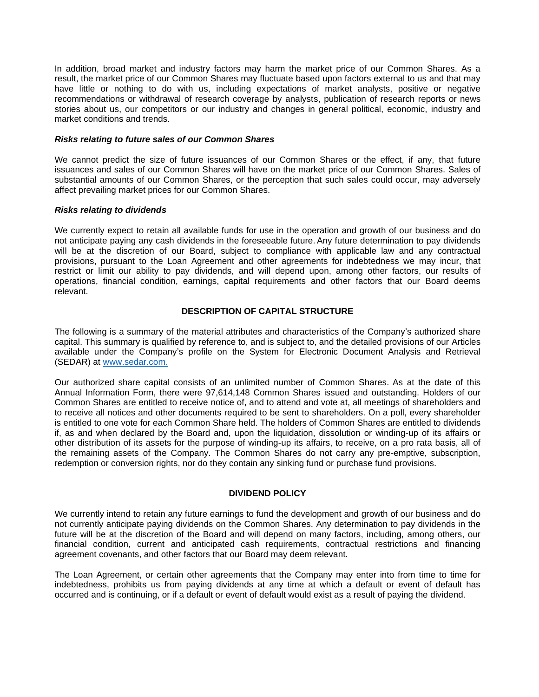In addition, broad market and industry factors may harm the market price of our Common Shares. As a result, the market price of our Common Shares may fluctuate based upon factors external to us and that may have little or nothing to do with us, including expectations of market analysts, positive or negative recommendations or withdrawal of research coverage by analysts, publication of research reports or news stories about us, our competitors or our industry and changes in general political, economic, industry and market conditions and trends.

#### *Risks relating to future sales of our Common Shares*

We cannot predict the size of future issuances of our Common Shares or the effect, if any, that future issuances and sales of our Common Shares will have on the market price of our Common Shares. Sales of substantial amounts of our Common Shares, or the perception that such sales could occur, may adversely affect prevailing market prices for our Common Shares.

#### *Risks relating to dividends*

We currently expect to retain all available funds for use in the operation and growth of our business and do not anticipate paying any cash dividends in the foreseeable future. Any future determination to pay dividends will be at the discretion of our Board, subject to compliance with applicable law and any contractual provisions, pursuant to the Loan Agreement and other agreements for indebtedness we may incur, that restrict or limit our ability to pay dividends, and will depend upon, among other factors, our results of operations, financial condition, earnings, capital requirements and other factors that our Board deems relevant.

## **DESCRIPTION OF CAPITAL STRUCTURE**

<span id="page-26-0"></span>The following is a summary of the material attributes and characteristics of the Company's authorized share capital. This summary is qualified by reference to, and is subject to, and the detailed provisions of our Articles available under the Company's profile on the System for Electronic Document Analysis and Retrieval (SEDAR) at [www.sedar.com.](http://www.sedar.com./)

Our authorized share capital consists of an unlimited number of Common Shares. As at the date of this Annual Information Form, there were 97,614,148 Common Shares issued and outstanding. Holders of our Common Shares are entitled to receive notice of, and to attend and vote at, all meetings of shareholders and to receive all notices and other documents required to be sent to shareholders. On a poll, every shareholder is entitled to one vote for each Common Share held. The holders of Common Shares are entitled to dividends if, as and when declared by the Board and, upon the liquidation, dissolution or winding-up of its affairs or other distribution of its assets for the purpose of winding-up its affairs, to receive, on a pro rata basis, all of the remaining assets of the Company. The Common Shares do not carry any pre-emptive, subscription, redemption or conversion rights, nor do they contain any sinking fund or purchase fund provisions.

## **DIVIDEND POLICY**

<span id="page-26-1"></span>We currently intend to retain any future earnings to fund the development and growth of our business and do not currently anticipate paying dividends on the Common Shares. Any determination to pay dividends in the future will be at the discretion of the Board and will depend on many factors, including, among others, our financial condition, current and anticipated cash requirements, contractual restrictions and financing agreement covenants, and other factors that our Board may deem relevant.

The Loan Agreement, or certain other agreements that the Company may enter into from time to time for indebtedness, prohibits us from paying dividends at any time at which a default or event of default has occurred and is continuing, or if a default or event of default would exist as a result of paying the dividend.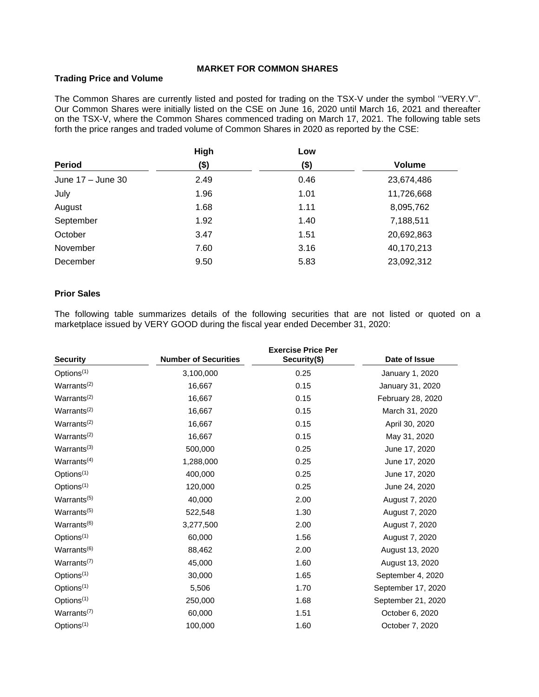## **MARKET FOR COMMON SHARES**

## <span id="page-27-1"></span><span id="page-27-0"></span>**Trading Price and Volume**

The Common Shares are currently listed and posted for trading on the TSX-V under the symbol ''VERY.V''. Our Common Shares were initially listed on the CSE on June 16, 2020 until March 16, 2021 and thereafter on the TSX-V, where the Common Shares commenced trading on March 17, 2021. The following table sets forth the price ranges and traded volume of Common Shares in 2020 as reported by the CSE:

|                   | High | Low  |               |
|-------------------|------|------|---------------|
| <b>Period</b>     | (\$) | (\$) | <b>Volume</b> |
| June 17 - June 30 | 2.49 | 0.46 | 23,674,486    |
| July              | 1.96 | 1.01 | 11,726,668    |
| August            | 1.68 | 1.11 | 8,095,762     |
| September         | 1.92 | 1.40 | 7,188,511     |
| October           | 3.47 | 1.51 | 20,692,863    |
| November          | 7.60 | 3.16 | 40,170,213    |
| December          | 9.50 | 5.83 | 23,092,312    |

## <span id="page-27-2"></span>**Prior Sales**

The following table summarizes details of the following securities that are not listed or quoted on a marketplace issued by VERY GOOD during the fiscal year ended December 31, 2020:

| <b>Security</b>         | <b>Number of Securities</b> | <b>Exercise Price Per</b><br>Security(\$) | Date of Issue      |
|-------------------------|-----------------------------|-------------------------------------------|--------------------|
| Options <sup>(1)</sup>  | 3,100,000                   | 0.25                                      | January 1, 2020    |
| Warrants <sup>(2)</sup> | 16,667                      | 0.15                                      | January 31, 2020   |
| Warrants <sup>(2)</sup> | 16,667                      | 0.15                                      | February 28, 2020  |
| Warrants <sup>(2)</sup> | 16,667                      | 0.15                                      | March 31, 2020     |
| Warrants $(2)$          | 16,667                      | 0.15                                      | April 30, 2020     |
| Warrants <sup>(2)</sup> | 16,667                      | 0.15                                      | May 31, 2020       |
| Warrants <sup>(3)</sup> | 500,000                     | 0.25                                      | June 17, 2020      |
| Warrants <sup>(4)</sup> | 1,288,000                   | 0.25                                      | June 17, 2020      |
| Options <sup>(1)</sup>  | 400,000                     | 0.25                                      | June 17, 2020      |
| Options <sup>(1)</sup>  | 120,000                     | 0.25                                      | June 24, 2020      |
| Warrants <sup>(5)</sup> | 40,000                      | 2.00                                      | August 7, 2020     |
| Warrants <sup>(5)</sup> | 522,548                     | 1.30                                      | August 7, 2020     |
| Warrants <sup>(6)</sup> | 3,277,500                   | 2.00                                      | August 7, 2020     |
| Options <sup>(1)</sup>  | 60,000                      | 1.56                                      | August 7, 2020     |
| Warrants <sup>(6)</sup> | 88,462                      | 2.00                                      | August 13, 2020    |
| Warrants <sup>(7)</sup> | 45,000                      | 1.60                                      | August 13, 2020    |
| Options <sup>(1)</sup>  | 30,000                      | 1.65                                      | September 4, 2020  |
| Options <sup>(1)</sup>  | 5,506                       | 1.70                                      | September 17, 2020 |
| Options <sup>(1)</sup>  | 250,000                     | 1.68                                      | September 21, 2020 |
| Warrants $(7)$          | 60,000                      | 1.51                                      | October 6, 2020    |
| Options <sup>(1)</sup>  | 100,000                     | 1.60                                      | October 7, 2020    |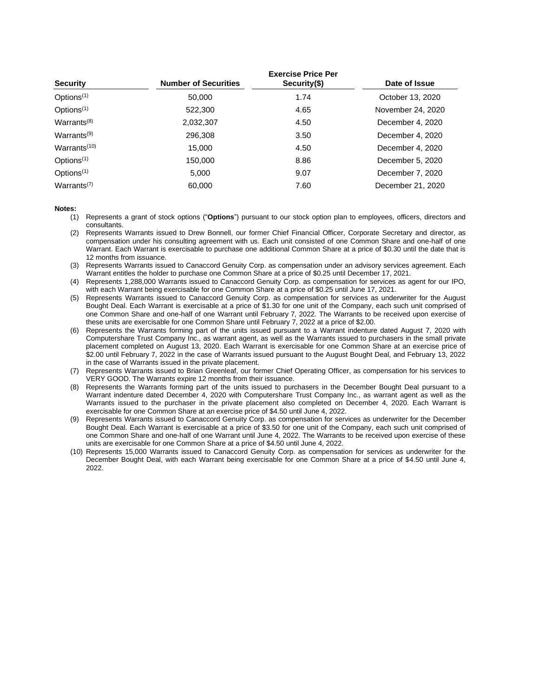| <b>Security</b>                      | <b>Number of Securities</b> | <b>Exercise Price Per</b><br>Security(\$) | Date of Issue     |
|--------------------------------------|-----------------------------|-------------------------------------------|-------------------|
| Options <sup>(1)</sup>               | 50,000                      | 1.74                                      | October 13, 2020  |
| Options $(1)$                        | 522,300                     | 4.65                                      | November 24, 2020 |
| Warrants $(8)$                       | 2,032,307                   | 4.50                                      | December 4, 2020  |
| Warrants $(9)$                       | 296,308                     | 3.50                                      | December 4, 2020  |
| Warrants <sup>(10)</sup>             | 15.000                      | 4.50                                      | December 4, 2020  |
| Options <sup>(1)</sup>               | 150.000                     | 8.86                                      | December 5, 2020  |
| Options $(1)$                        | 5.000                       | 9.07                                      | December 7, 2020  |
| Warrants <sup><math>(7)</math></sup> | 60.000                      | 7.60                                      | December 21, 2020 |

**Notes:**

- (1) Represents a grant of stock options ("**Options**") pursuant to our stock option plan to employees, officers, directors and consultants.
- (2) Represents Warrants issued to Drew Bonnell, our former Chief Financial Officer, Corporate Secretary and director, as compensation under his consulting agreement with us. Each unit consisted of one Common Share and one-half of one Warrant. Each Warrant is exercisable to purchase one additional Common Share at a price of \$0.30 until the date that is 12 months from issuance.
- (3) Represents Warrants issued to Canaccord Genuity Corp. as compensation under an advisory services agreement. Each Warrant entitles the holder to purchase one Common Share at a price of \$0.25 until December 17, 2021.
- (4) Represents 1,288,000 Warrants issued to Canaccord Genuity Corp. as compensation for services as agent for our IPO, with each Warrant being exercisable for one Common Share at a price of \$0.25 until June 17, 2021.
- (5) Represents Warrants issued to Canaccord Genuity Corp. as compensation for services as underwriter for the August Bought Deal. Each Warrant is exercisable at a price of \$1.30 for one unit of the Company, each such unit comprised of one Common Share and one-half of one Warrant until February 7, 2022. The Warrants to be received upon exercise of these units are exercisable for one Common Share until February 7, 2022 at a price of \$2.00.
- (6) Represents the Warrants forming part of the units issued pursuant to a Warrant indenture dated August 7, 2020 with Computershare Trust Company Inc., as warrant agent, as well as the Warrants issued to purchasers in the small private placement completed on August 13, 2020. Each Warrant is exercisable for one Common Share at an exercise price of \$2.00 until February 7, 2022 in the case of Warrants issued pursuant to the August Bought Deal, and February 13, 2022 in the case of Warrants issued in the private placement.
- (7) Represents Warrants issued to Brian Greenleaf, our former Chief Operating Officer, as compensation for his services to VERY GOOD. The Warrants expire 12 months from their issuance.
- (8) Represents the Warrants forming part of the units issued to purchasers in the December Bought Deal pursuant to a Warrant indenture dated December 4, 2020 with Computershare Trust Company Inc., as warrant agent as well as the Warrants issued to the purchaser in the private placement also completed on December 4, 2020. Each Warrant is exercisable for one Common Share at an exercise price of \$4.50 until June 4, 2022.
- (9) Represents Warrants issued to Canaccord Genuity Corp. as compensation for services as underwriter for the December Bought Deal. Each Warrant is exercisable at a price of \$3.50 for one unit of the Company, each such unit comprised of one Common Share and one-half of one Warrant until June 4, 2022. The Warrants to be received upon exercise of these units are exercisable for one Common Share at a price of \$4.50 until June 4, 2022.
- <span id="page-28-0"></span>(10) Represents 15,000 Warrants issued to Canaccord Genuity Corp. as compensation for services as underwriter for the December Bought Deal, with each Warrant being exercisable for one Common Share at a price of \$4.50 until June 4, 2022.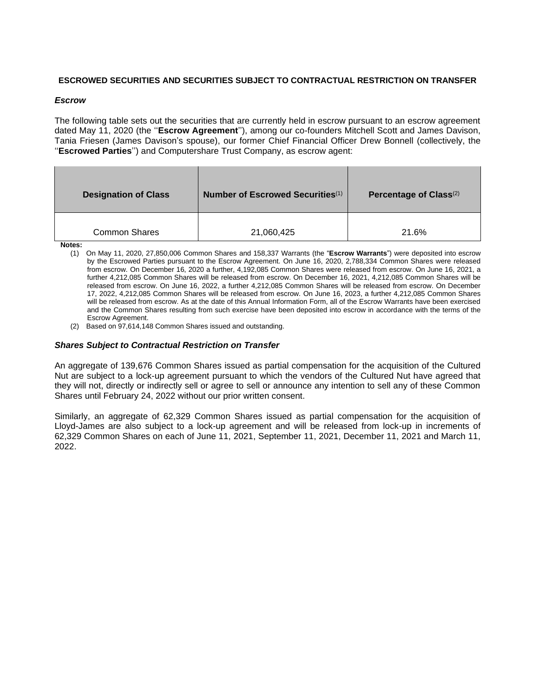## **ESCROWED SECURITIES AND SECURITIES SUBJECT TO CONTRACTUAL RESTRICTION ON TRANSFER**

## *Escrow*

The following table sets out the securities that are currently held in escrow pursuant to an escrow agreement dated May 11, 2020 (the ''**Escrow Agreement**''), among our co-founders Mitchell Scott and James Davison, Tania Friesen (James Davison's spouse), our former Chief Financial Officer Drew Bonnell (collectively, the ''**Escrowed Parties**'') and Computershare Trust Company, as escrow agent:

| <b>Designation of Class</b> | Number of Escrowed Securities <sup>(1)</sup> | Percentage of Class <sup>(2)</sup> |  |
|-----------------------------|----------------------------------------------|------------------------------------|--|
| <b>Common Shares</b>        | 21,060,425                                   | 21.6%                              |  |

**Notes:**

- (1) On May 11, 2020, 27,850,006 Common Shares and 158,337 Warrants (the "**Escrow Warrants**") were deposited into escrow by the Escrowed Parties pursuant to the Escrow Agreement. On June 16, 2020, 2,788,334 Common Shares were released from escrow. On December 16, 2020 a further, 4,192,085 Common Shares were released from escrow. On June 16, 2021, a further 4,212,085 Common Shares will be released from escrow. On December 16, 2021, 4,212,085 Common Shares will be released from escrow. On June 16, 2022, a further 4,212,085 Common Shares will be released from escrow. On December 17, 2022, 4,212,085 Common Shares will be released from escrow. On June 16, 2023, a further 4,212,085 Common Shares will be released from escrow. As at the date of this Annual Information Form, all of the Escrow Warrants have been exercised and the Common Shares resulting from such exercise have been deposited into escrow in accordance with the terms of the Escrow Agreement.
- (2) Based on 97,614,148 Common Shares issued and outstanding.

## *Shares Subject to Contractual Restriction on Transfer*

An aggregate of 139,676 Common Shares issued as partial compensation for the acquisition of the Cultured Nut are subject to a lock-up agreement pursuant to which the vendors of the Cultured Nut have agreed that they will not, directly or indirectly sell or agree to sell or announce any intention to sell any of these Common Shares until February 24, 2022 without our prior written consent.

Similarly, an aggregate of 62,329 Common Shares issued as partial compensation for the acquisition of Lloyd-James are also subject to a lock-up agreement and will be released from lock-up in increments of 62,329 Common Shares on each of June 11, 2021, September 11, 2021, December 11, 2021 and March 11, 2022.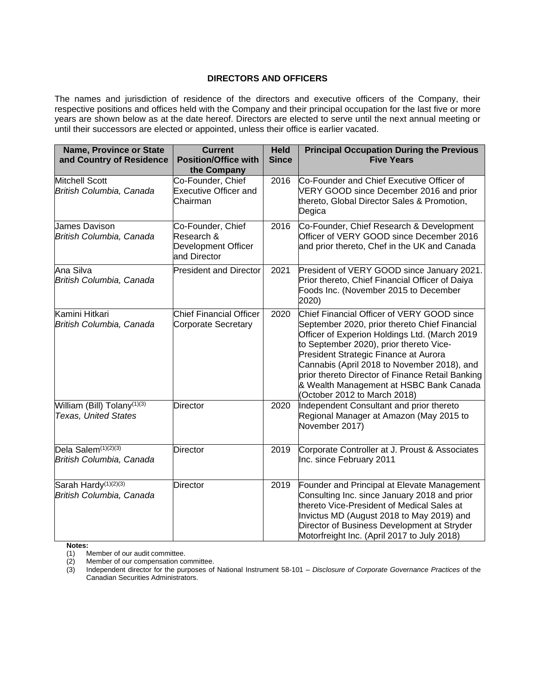## **DIRECTORS AND OFFICERS**

<span id="page-30-0"></span>The names and jurisdiction of residence of the directors and executive officers of the Company, their respective positions and offices held with the Company and their principal occupation for the last five or more years are shown below as at the date hereof. Directors are elected to serve until the next annual meeting or until their successors are elected or appointed, unless their office is earlier vacated.

| <b>Name, Province or State</b><br>and Country of Residence             | <b>Current</b><br><b>Position/Office with</b><br>the Company           | <b>Held</b><br><b>Since</b> | <b>Principal Occupation During the Previous</b><br><b>Five Years</b>                                                                                                                                                                                                                                                                                                                                           |
|------------------------------------------------------------------------|------------------------------------------------------------------------|-----------------------------|----------------------------------------------------------------------------------------------------------------------------------------------------------------------------------------------------------------------------------------------------------------------------------------------------------------------------------------------------------------------------------------------------------------|
| Mitchell Scott<br>British Columbia, Canada                             | Co-Founder, Chief<br><b>Executive Officer and</b><br>Chairman          | 2016                        | Co-Founder and Chief Executive Officer of<br>VERY GOOD since December 2016 and prior<br>thereto, Global Director Sales & Promotion,<br>Degica                                                                                                                                                                                                                                                                  |
| <b>James Davison</b><br>British Columbia, Canada                       | Co-Founder, Chief<br>Research &<br>Development Officer<br>and Director | 2016                        | Co-Founder, Chief Research & Development<br>Officer of VERY GOOD since December 2016<br>and prior thereto, Chef in the UK and Canada                                                                                                                                                                                                                                                                           |
| Ana Silva<br>British Columbia, Canada                                  | <b>President and Director</b>                                          | 2021                        | President of VERY GOOD since January 2021.<br>Prior thereto, Chief Financial Officer of Daiya<br>Foods Inc. (November 2015 to December<br>2020)                                                                                                                                                                                                                                                                |
| Kamini Hitkari<br>British Columbia, Canada                             | <b>Chief Financial Officer</b><br><b>Corporate Secretary</b>           | 2020                        | Chief Financial Officer of VERY GOOD since<br>September 2020, prior thereto Chief Financial<br>Officer of Experion Holdings Ltd. (March 2019<br>to September 2020), prior thereto Vice-<br>President Strategic Finance at Aurora<br>Cannabis (April 2018 to November 2018), and<br>prior thereto Director of Finance Retail Banking<br>& Wealth Management at HSBC Bank Canada<br>(October 2012 to March 2018) |
| William (Bill) Tolany <sup>(1)(3)</sup><br><b>Texas, United States</b> | <b>Director</b>                                                        | 2020                        | Independent Consultant and prior thereto<br>Regional Manager at Amazon (May 2015 to<br>November 2017)                                                                                                                                                                                                                                                                                                          |
| Dela Salem <sup>(1)(2)(3)</sup><br>British Columbia, Canada            | <b>Director</b>                                                        | 2019                        | Corporate Controller at J. Proust & Associates<br>Inc. since February 2011                                                                                                                                                                                                                                                                                                                                     |
| Sarah Hardy <sup>(1)(2)(3)</sup><br>British Columbia, Canada           | <b>Director</b>                                                        | 2019                        | Founder and Principal at Elevate Management<br>Consulting Inc. since January 2018 and prior<br>thereto Vice-President of Medical Sales at<br>Invictus MD (August 2018 to May 2019) and<br>Director of Business Development at Stryder<br>Motorfreight Inc. (April 2017 to July 2018)                                                                                                                           |

**Notes:**<br>(1) **M** 

Member of our audit committee.

(2) Member of our compensation committee.<br>(3) Independent director for the purposes of

(3) Independent director for the purposes of National Instrument 58-101 – *Disclosure of Corporate Governance Practices* of the Canadian Securities Administrators.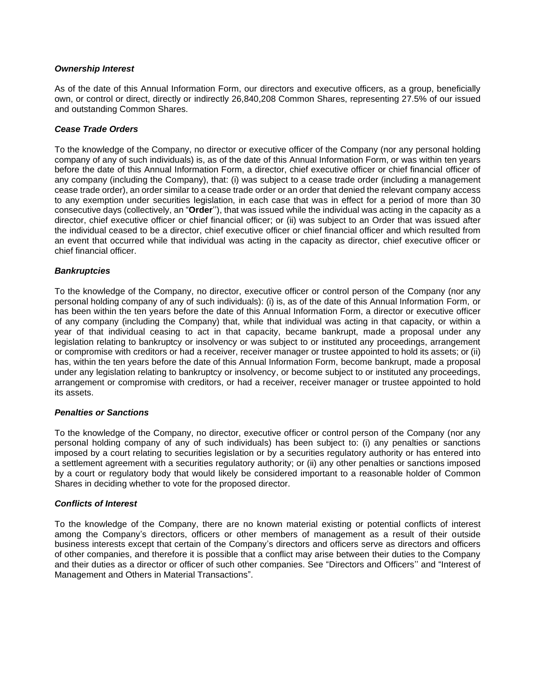## *Ownership Interest*

As of the date of this Annual Information Form, our directors and executive officers, as a group, beneficially own, or control or direct, directly or indirectly 26,840,208 Common Shares, representing 27.5% of our issued and outstanding Common Shares.

## *Cease Trade Orders*

To the knowledge of the Company, no director or executive officer of the Company (nor any personal holding company of any of such individuals) is, as of the date of this Annual Information Form, or was within ten years before the date of this Annual Information Form, a director, chief executive officer or chief financial officer of any company (including the Company), that: (i) was subject to a cease trade order (including a management cease trade order), an order similar to a cease trade order or an order that denied the relevant company access to any exemption under securities legislation, in each case that was in effect for a period of more than 30 consecutive days (collectively, an "**Order**''), that was issued while the individual was acting in the capacity as a director, chief executive officer or chief financial officer; or (ii) was subject to an Order that was issued after the individual ceased to be a director, chief executive officer or chief financial officer and which resulted from an event that occurred while that individual was acting in the capacity as director, chief executive officer or chief financial officer.

## *Bankruptcies*

To the knowledge of the Company, no director, executive officer or control person of the Company (nor any personal holding company of any of such individuals): (i) is, as of the date of this Annual Information Form, or has been within the ten years before the date of this Annual Information Form, a director or executive officer of any company (including the Company) that, while that individual was acting in that capacity, or within a year of that individual ceasing to act in that capacity, became bankrupt, made a proposal under any legislation relating to bankruptcy or insolvency or was subject to or instituted any proceedings, arrangement or compromise with creditors or had a receiver, receiver manager or trustee appointed to hold its assets; or (ii) has, within the ten years before the date of this Annual Information Form, become bankrupt, made a proposal under any legislation relating to bankruptcy or insolvency, or become subject to or instituted any proceedings, arrangement or compromise with creditors, or had a receiver, receiver manager or trustee appointed to hold its assets.

## *Penalties or Sanctions*

To the knowledge of the Company, no director, executive officer or control person of the Company (nor any personal holding company of any of such individuals) has been subject to: (i) any penalties or sanctions imposed by a court relating to securities legislation or by a securities regulatory authority or has entered into a settlement agreement with a securities regulatory authority; or (ii) any other penalties or sanctions imposed by a court or regulatory body that would likely be considered important to a reasonable holder of Common Shares in deciding whether to vote for the proposed director.

## *Conflicts of Interest*

To the knowledge of the Company, there are no known material existing or potential conflicts of interest among the Company's directors, officers or other members of management as a result of their outside business interests except that certain of the Company's directors and officers serve as directors and officers of other companies, and therefore it is possible that a conflict may arise between their duties to the Company and their duties as a director or officer of such other companies. See "Directors and Officers'' and "Interest of Management and Others in Material Transactions".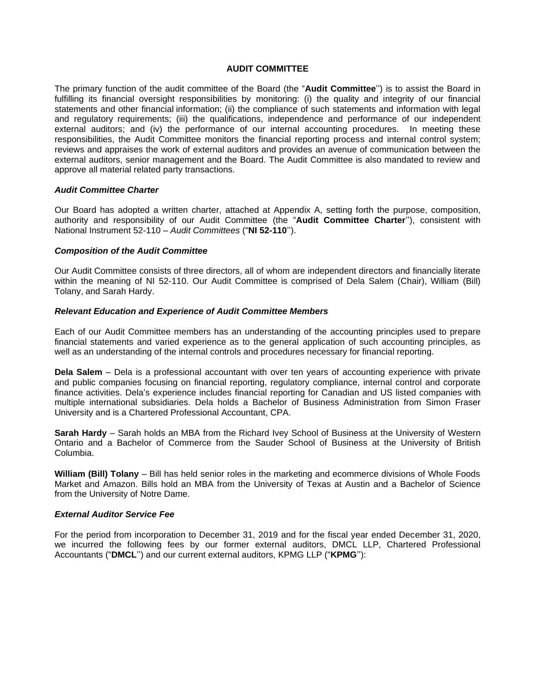## **AUDIT COMMITTEE**

<span id="page-32-0"></span>The primary function of the audit committee of the Board (the "**Audit Committee**'') is to assist the Board in fulfilling its financial oversight responsibilities by monitoring: (i) the quality and integrity of our financial statements and other financial information; (ii) the compliance of such statements and information with legal and regulatory requirements; (iii) the qualifications, independence and performance of our independent external auditors; and (iv) the performance of our internal accounting procedures. In meeting these responsibilities, the Audit Committee monitors the financial reporting process and internal control system; reviews and appraises the work of external auditors and provides an avenue of communication between the external auditors, senior management and the Board. The Audit Committee is also mandated to review and approve all material related party transactions.

#### *Audit Committee Charter*

Our Board has adopted a written charter, attached at Appendix A, setting forth the purpose, composition, authority and responsibility of our Audit Committee (the "**Audit Committee Charter**''), consistent with National Instrument 52-110 – *Audit Committees* ("**NI 52-110**'').

#### *Composition of the Audit Committee*

Our Audit Committee consists of three directors, all of whom are independent directors and financially literate within the meaning of NI 52-110. Our Audit Committee is comprised of Dela Salem (Chair), William (Bill) Tolany, and Sarah Hardy.

#### *Relevant Education and Experience of Audit Committee Members*

Each of our Audit Committee members has an understanding of the accounting principles used to prepare financial statements and varied experience as to the general application of such accounting principles, as well as an understanding of the internal controls and procedures necessary for financial reporting.

**Dela Salem** – Dela is a professional accountant with over ten years of accounting experience with private and public companies focusing on financial reporting, regulatory compliance, internal control and corporate finance activities. Dela's experience includes financial reporting for Canadian and US listed companies with multiple international subsidiaries. Dela holds a Bachelor of Business Administration from Simon Fraser University and is a Chartered Professional Accountant, CPA.

**Sarah Hardy** – Sarah holds an MBA from the Richard Ivey School of Business at the University of Western Ontario and a Bachelor of Commerce from the Sauder School of Business at the University of British Columbia.

**William (Bill) Tolany** – Bill has held senior roles in the marketing and ecommerce divisions of Whole Foods Market and Amazon. Bills hold an MBA from the University of Texas at Austin and a Bachelor of Science from the University of Notre Dame.

#### *External Auditor Service Fee*

For the period from incorporation to December 31, 2019 and for the fiscal year ended December 31, 2020, we incurred the following fees by our former external auditors, DMCL LLP, Chartered Professional Accountants ("**DMCL**'') and our current external auditors, KPMG LLP ("**KPMG**''):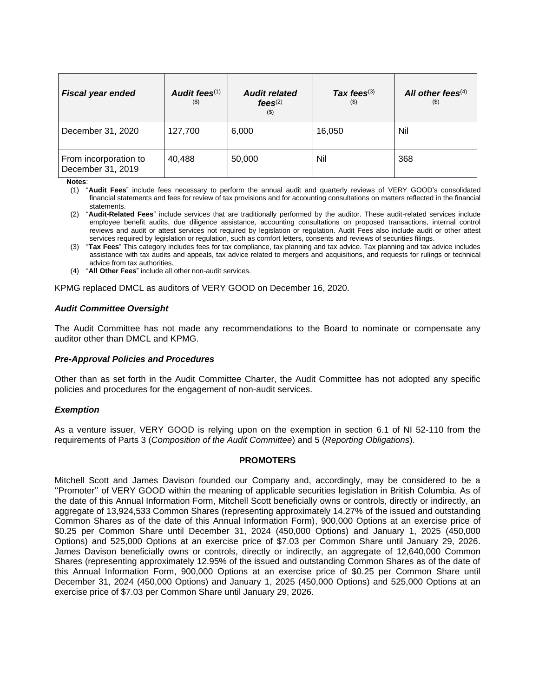| <b>Fiscal year ended</b>                   | Audit fees $(1)$<br>$($ \$ | <b>Audit related</b><br>$f$ ees $(2)$<br>$($ \$) | Tax fees $(3)$<br>$($ \$ | All other fees $(4)$<br>(5) |
|--------------------------------------------|----------------------------|--------------------------------------------------|--------------------------|-----------------------------|
| December 31, 2020                          | 127,700                    | 6,000                                            | 16,050                   | Nil                         |
| From incorporation to<br>December 31, 2019 | 40,488                     | 50,000                                           | Nil                      | 368                         |

**Notes**:

- (1) "**Audit Fees**" include fees necessary to perform the annual audit and quarterly reviews of VERY GOOD's consolidated financial statements and fees for review of tax provisions and for accounting consultations on matters reflected in the financial statements.
- (2) "**Audit-Related Fees**" include services that are traditionally performed by the auditor. These audit-related services include employee benefit audits, due diligence assistance, accounting consultations on proposed transactions, internal control reviews and audit or attest services not required by legislation or regulation. Audit Fees also include audit or other attest services required by legislation or regulation, such as comfort letters, consents and reviews of securities filings.
- (3) "**Tax Fees**" This category includes fees for tax compliance, tax planning and tax advice. Tax planning and tax advice includes assistance with tax audits and appeals, tax advice related to mergers and acquisitions, and requests for rulings or technical advice from tax authorities.
- (4) "**All Other Fees**" include all other non-audit services.

KPMG replaced DMCL as auditors of VERY GOOD on December 16, 2020.

## *Audit Committee Oversight*

The Audit Committee has not made any recommendations to the Board to nominate or compensate any auditor other than DMCL and KPMG.

## *Pre-Approval Policies and Procedures*

Other than as set forth in the Audit Committee Charter, the Audit Committee has not adopted any specific policies and procedures for the engagement of non-audit services.

## *Exemption*

As a venture issuer, VERY GOOD is relying upon on the exemption in section 6.1 of NI 52-110 from the requirements of Parts 3 (*Composition of the Audit Committee*) and 5 (*Reporting Obligations*).

## **PROMOTERS**

<span id="page-33-0"></span>Mitchell Scott and James Davison founded our Company and, accordingly, may be considered to be a ''Promoter'' of VERY GOOD within the meaning of applicable securities legislation in British Columbia. As of the date of this Annual Information Form, Mitchell Scott beneficially owns or controls, directly or indirectly, an aggregate of 13,924,533 Common Shares (representing approximately 14.27% of the issued and outstanding Common Shares as of the date of this Annual Information Form), 900,000 Options at an exercise price of \$0.25 per Common Share until December 31, 2024 (450,000 Options) and January 1, 2025 (450,000 Options) and 525,000 Options at an exercise price of \$7.03 per Common Share until January 29, 2026. James Davison beneficially owns or controls, directly or indirectly, an aggregate of 12,640,000 Common Shares (representing approximately 12.95% of the issued and outstanding Common Shares as of the date of this Annual Information Form, 900,000 Options at an exercise price of \$0.25 per Common Share until December 31, 2024 (450,000 Options) and January 1, 2025 (450,000 Options) and 525,000 Options at an exercise price of \$7.03 per Common Share until January 29, 2026.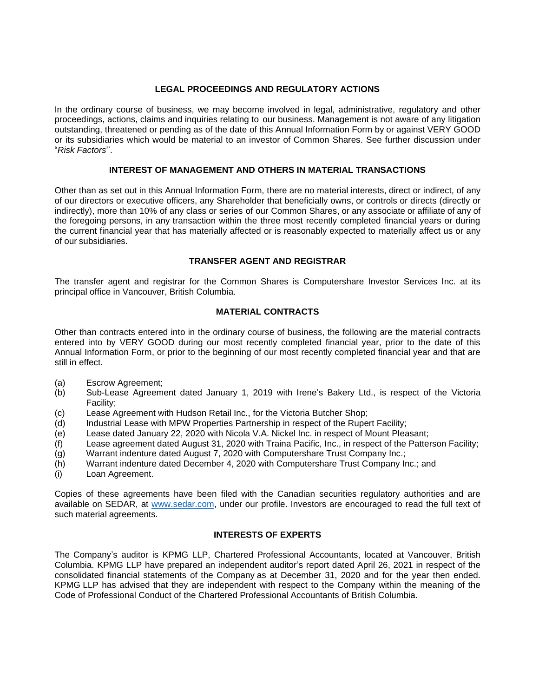## **LEGAL PROCEEDINGS AND REGULATORY ACTIONS**

<span id="page-34-0"></span>In the ordinary course of business, we may become involved in legal, administrative, regulatory and other proceedings, actions, claims and inquiries relating to our business. Management is not aware of any litigation outstanding, threatened or pending as of the date of this Annual Information Form by or against VERY GOOD or its subsidiaries which would be material to an investor of Common Shares. See further discussion under "*Risk Factors*''.

## **INTEREST OF MANAGEMENT AND OTHERS IN MATERIAL TRANSACTIONS**

<span id="page-34-1"></span>Other than as set out in this Annual Information Form, there are no material interests, direct or indirect, of any of our directors or executive officers, any Shareholder that beneficially owns, or controls or directs (directly or indirectly), more than 10% of any class or series of our Common Shares, or any associate or affiliate of any of the foregoing persons, in any transaction within the three most recently completed financial years or during the current financial year that has materially affected or is reasonably expected to materially affect us or any of our subsidiaries.

## **TRANSFER AGENT AND REGISTRAR**

<span id="page-34-2"></span>The transfer agent and registrar for the Common Shares is Computershare Investor Services Inc. at its principal office in Vancouver, British Columbia.

## **MATERIAL CONTRACTS**

<span id="page-34-3"></span>Other than contracts entered into in the ordinary course of business, the following are the material contracts entered into by VERY GOOD during our most recently completed financial year, prior to the date of this Annual Information Form, or prior to the beginning of our most recently completed financial year and that are still in effect.

- (a) Escrow Agreement;
- (b) Sub-Lease Agreement dated January 1, 2019 with Irene's Bakery Ltd., is respect of the Victoria Facility;
- (c) Lease Agreement with Hudson Retail Inc., for the Victoria Butcher Shop;
- (d) Industrial Lease with MPW Properties Partnership in respect of the Rupert Facility;
- (e) Lease dated January 22, 2020 with Nicola V.A. Nickel Inc. in respect of Mount Pleasant;
- (f) Lease agreement dated August 31, 2020 with Traina Pacific, Inc., in respect of the Patterson Facility;
- (g) Warrant indenture dated August 7, 2020 with Computershare Trust Company Inc.;
- (h) Warrant indenture dated December 4, 2020 with Computershare Trust Company Inc.; and
- (i) Loan Agreement.

Copies of these agreements have been filed with the Canadian securities regulatory authorities and are available on SEDAR, at [www.sedar.com,](http://www.sedar.com/) under our profile. Investors are encouraged to read the full text of such material agreements.

## **INTERESTS OF EXPERTS**

<span id="page-34-4"></span>The Company's auditor is KPMG LLP, Chartered Professional Accountants, located at Vancouver, British Columbia. KPMG LLP have prepared an independent auditor's report dated April 26, 2021 in respect of the consolidated financial statements of the Company as at December 31, 2020 and for the year then ended. KPMG LLP has advised that they are independent with respect to the Company within the meaning of the Code of Professional Conduct of the Chartered Professional Accountants of British Columbia.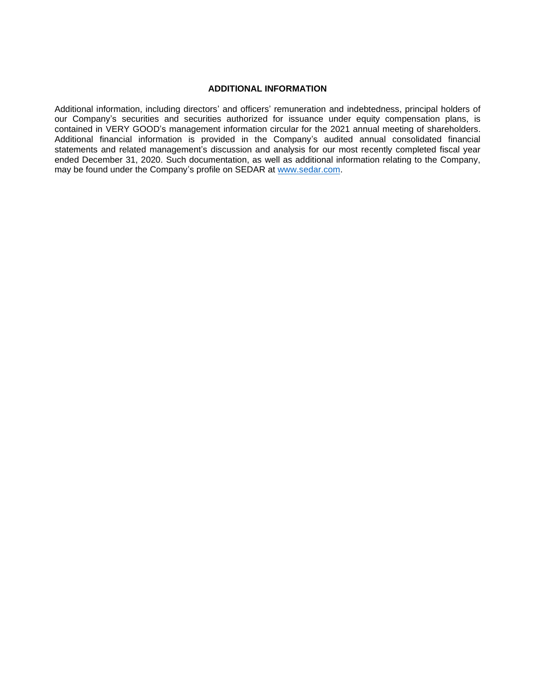## **ADDITIONAL INFORMATION**

<span id="page-35-0"></span>Additional information, including directors' and officers' remuneration and indebtedness, principal holders of our Company's securities and securities authorized for issuance under equity compensation plans, is contained in VERY GOOD's management information circular for the 2021 annual meeting of shareholders. Additional financial information is provided in the Company's audited annual consolidated financial statements and related management's discussion and analysis for our most recently completed fiscal year ended December 31, 2020. Such documentation, as well as additional information relating to the Company, may be found under the Company's profile on SEDAR at [www.sedar.com.](http://www.sedar.com/)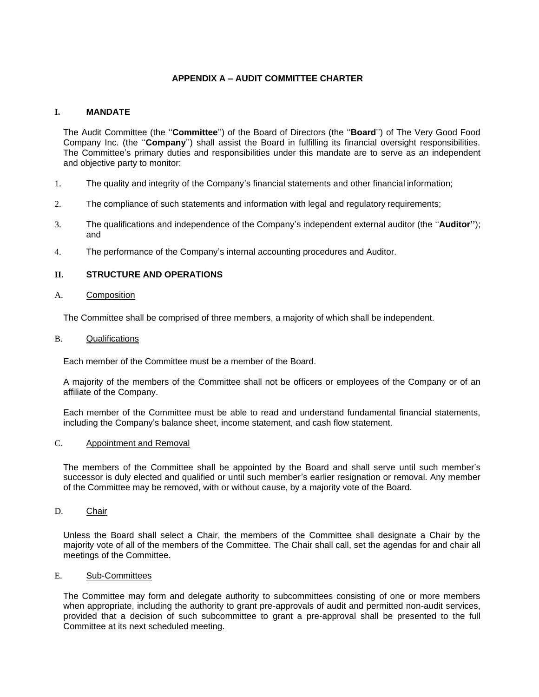## **APPENDIX A – AUDIT COMMITTEE CHARTER**

## <span id="page-36-0"></span>**I. MANDATE**

The Audit Committee (the ''**Committee**'') of the Board of Directors (the ''**Board**'') of The Very Good Food Company Inc. (the ''**Company**'') shall assist the Board in fulfilling its financial oversight responsibilities. The Committee's primary duties and responsibilities under this mandate are to serve as an independent and objective party to monitor:

- 1. The quality and integrity of the Company's financial statements and other financial information;
- 2. The compliance of such statements and information with legal and regulatory requirements;
- 3. The qualifications and independence of the Company's independent external auditor (the ''**Auditor''**); and
- 4. The performance of the Company's internal accounting procedures and Auditor.

## **II. STRUCTURE AND OPERATIONS**

## A. Composition

The Committee shall be comprised of three members, a majority of which shall be independent.

## B. Qualifications

Each member of the Committee must be a member of the Board.

A majority of the members of the Committee shall not be officers or employees of the Company or of an affiliate of the Company.

Each member of the Committee must be able to read and understand fundamental financial statements, including the Company's balance sheet, income statement, and cash flow statement.

## C. Appointment and Removal

The members of the Committee shall be appointed by the Board and shall serve until such member's successor is duly elected and qualified or until such member's earlier resignation or removal. Any member of the Committee may be removed, with or without cause, by a majority vote of the Board.

D. Chair

Unless the Board shall select a Chair, the members of the Committee shall designate a Chair by the majority vote of all of the members of the Committee. The Chair shall call, set the agendas for and chair all meetings of the Committee.

## E. Sub-Committees

The Committee may form and delegate authority to subcommittees consisting of one or more members when appropriate, including the authority to grant pre-approvals of audit and permitted non-audit services, provided that a decision of such subcommittee to grant a pre-approval shall be presented to the full Committee at its next scheduled meeting.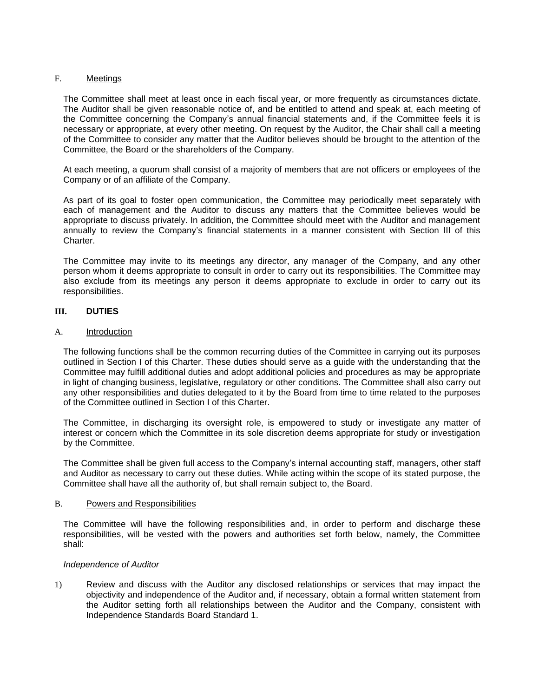## F. Meetings

The Committee shall meet at least once in each fiscal year, or more frequently as circumstances dictate. The Auditor shall be given reasonable notice of, and be entitled to attend and speak at, each meeting of the Committee concerning the Company's annual financial statements and, if the Committee feels it is necessary or appropriate, at every other meeting. On request by the Auditor, the Chair shall call a meeting of the Committee to consider any matter that the Auditor believes should be brought to the attention of the Committee, the Board or the shareholders of the Company.

At each meeting, a quorum shall consist of a majority of members that are not officers or employees of the Company or of an affiliate of the Company.

As part of its goal to foster open communication, the Committee may periodically meet separately with each of management and the Auditor to discuss any matters that the Committee believes would be appropriate to discuss privately. In addition, the Committee should meet with the Auditor and management annually to review the Company's financial statements in a manner consistent with Section III of this Charter.

The Committee may invite to its meetings any director, any manager of the Company, and any other person whom it deems appropriate to consult in order to carry out its responsibilities. The Committee may also exclude from its meetings any person it deems appropriate to exclude in order to carry out its responsibilities.

## **III. DUTIES**

## A. Introduction

The following functions shall be the common recurring duties of the Committee in carrying out its purposes outlined in Section I of this Charter. These duties should serve as a guide with the understanding that the Committee may fulfill additional duties and adopt additional policies and procedures as may be appropriate in light of changing business, legislative, regulatory or other conditions. The Committee shall also carry out any other responsibilities and duties delegated to it by the Board from time to time related to the purposes of the Committee outlined in Section I of this Charter.

The Committee, in discharging its oversight role, is empowered to study or investigate any matter of interest or concern which the Committee in its sole discretion deems appropriate for study or investigation by the Committee.

The Committee shall be given full access to the Company's internal accounting staff, managers, other staff and Auditor as necessary to carry out these duties. While acting within the scope of its stated purpose, the Committee shall have all the authority of, but shall remain subject to, the Board.

## B. Powers and Responsibilities

The Committee will have the following responsibilities and, in order to perform and discharge these responsibilities, will be vested with the powers and authorities set forth below, namely, the Committee shall:

## *Independence of Auditor*

1) Review and discuss with the Auditor any disclosed relationships or services that may impact the objectivity and independence of the Auditor and, if necessary, obtain a formal written statement from the Auditor setting forth all relationships between the Auditor and the Company, consistent with Independence Standards Board Standard 1.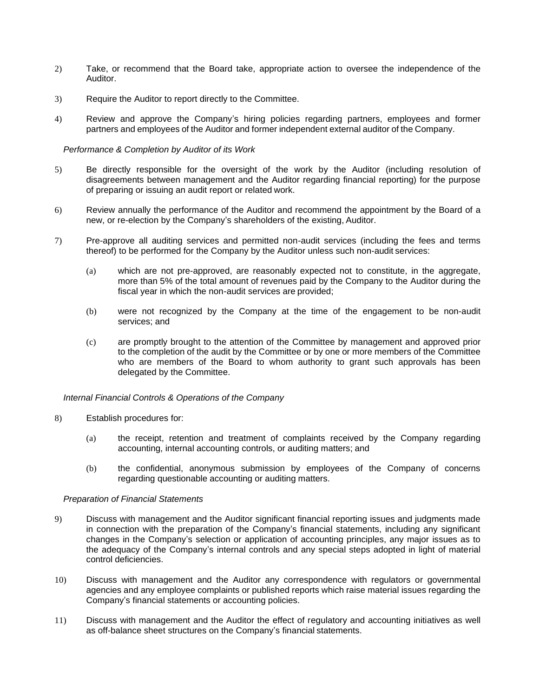- 2) Take, or recommend that the Board take, appropriate action to oversee the independence of the Auditor.
- 3) Require the Auditor to report directly to the Committee.
- 4) Review and approve the Company's hiring policies regarding partners, employees and former partners and employees of the Auditor and former independent external auditor of the Company.

#### *Performance & Completion by Auditor of its Work*

- 5) Be directly responsible for the oversight of the work by the Auditor (including resolution of disagreements between management and the Auditor regarding financial reporting) for the purpose of preparing or issuing an audit report or related work.
- 6) Review annually the performance of the Auditor and recommend the appointment by the Board of a new, or re-election by the Company's shareholders of the existing, Auditor.
- 7) Pre-approve all auditing services and permitted non-audit services (including the fees and terms thereof) to be performed for the Company by the Auditor unless such non-audit services:
	- (a) which are not pre-approved, are reasonably expected not to constitute, in the aggregate, more than 5% of the total amount of revenues paid by the Company to the Auditor during the fiscal year in which the non-audit services are provided;
	- (b) were not recognized by the Company at the time of the engagement to be non-audit services; and
	- (c) are promptly brought to the attention of the Committee by management and approved prior to the completion of the audit by the Committee or by one or more members of the Committee who are members of the Board to whom authority to grant such approvals has been delegated by the Committee.

#### *Internal Financial Controls & Operations of the Company*

- 8) Establish procedures for:
	- (a) the receipt, retention and treatment of complaints received by the Company regarding accounting, internal accounting controls, or auditing matters; and
	- (b) the confidential, anonymous submission by employees of the Company of concerns regarding questionable accounting or auditing matters.

#### *Preparation of Financial Statements*

- 9) Discuss with management and the Auditor significant financial reporting issues and judgments made in connection with the preparation of the Company's financial statements, including any significant changes in the Company's selection or application of accounting principles, any major issues as to the adequacy of the Company's internal controls and any special steps adopted in light of material control deficiencies.
- 10) Discuss with management and the Auditor any correspondence with regulators or governmental agencies and any employee complaints or published reports which raise material issues regarding the Company's financial statements or accounting policies.
- 11) Discuss with management and the Auditor the effect of regulatory and accounting initiatives as well as off-balance sheet structures on the Company's financial statements.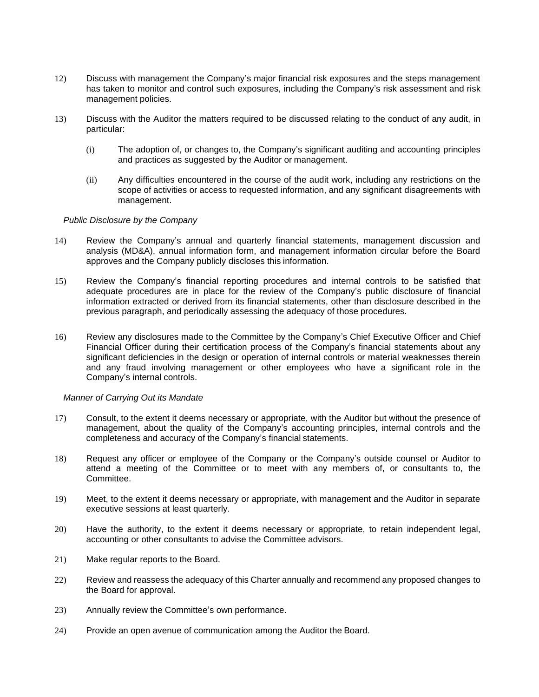- 12) Discuss with management the Company's major financial risk exposures and the steps management has taken to monitor and control such exposures, including the Company's risk assessment and risk management policies.
- 13) Discuss with the Auditor the matters required to be discussed relating to the conduct of any audit, in particular:
	- (i) The adoption of, or changes to, the Company's significant auditing and accounting principles and practices as suggested by the Auditor or management.
	- (ii) Any difficulties encountered in the course of the audit work, including any restrictions on the scope of activities or access to requested information, and any significant disagreements with management.

#### *Public Disclosure by the Company*

- 14) Review the Company's annual and quarterly financial statements, management discussion and analysis (MD&A), annual information form, and management information circular before the Board approves and the Company publicly discloses this information.
- 15) Review the Company's financial reporting procedures and internal controls to be satisfied that adequate procedures are in place for the review of the Company's public disclosure of financial information extracted or derived from its financial statements, other than disclosure described in the previous paragraph, and periodically assessing the adequacy of those procedures.
- 16) Review any disclosures made to the Committee by the Company's Chief Executive Officer and Chief Financial Officer during their certification process of the Company's financial statements about any significant deficiencies in the design or operation of internal controls or material weaknesses therein and any fraud involving management or other employees who have a significant role in the Company's internal controls.

#### *Manner of Carrying Out its Mandate*

- 17) Consult, to the extent it deems necessary or appropriate, with the Auditor but without the presence of management, about the quality of the Company's accounting principles, internal controls and the completeness and accuracy of the Company's financial statements.
- 18) Request any officer or employee of the Company or the Company's outside counsel or Auditor to attend a meeting of the Committee or to meet with any members of, or consultants to, the Committee.
- 19) Meet, to the extent it deems necessary or appropriate, with management and the Auditor in separate executive sessions at least quarterly.
- 20) Have the authority, to the extent it deems necessary or appropriate, to retain independent legal, accounting or other consultants to advise the Committee advisors.
- 21) Make regular reports to the Board.
- 22) Review and reassess the adequacy of this Charter annually and recommend any proposed changes to the Board for approval.
- 23) Annually review the Committee's own performance.
- 24) Provide an open avenue of communication among the Auditor the Board.